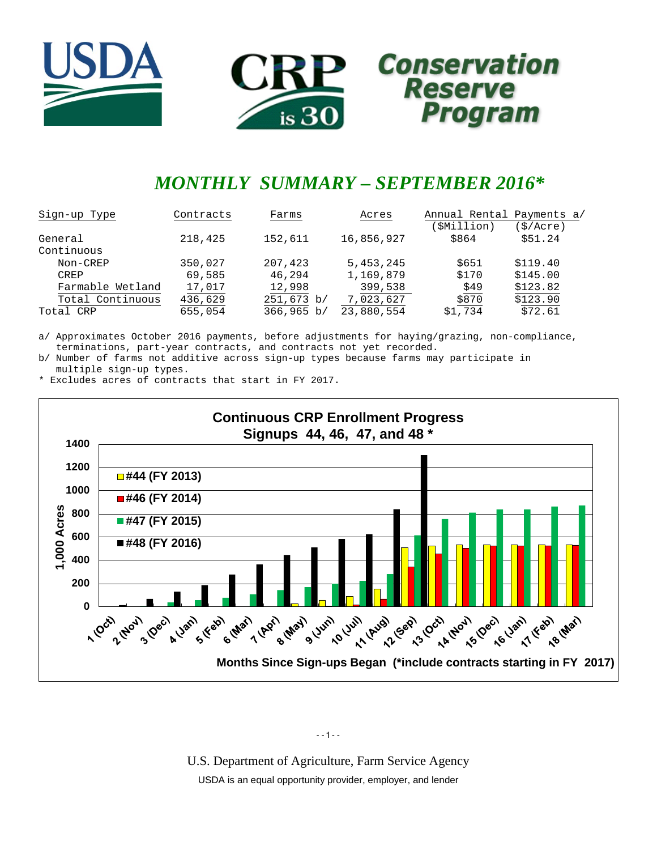



# *MONTHLY SUMMARY – SEPTEMBER 2016\**

| Sign-up Type     | Contracts | Farms      | Acres      | Annual Rental Payments a/ |          |
|------------------|-----------|------------|------------|---------------------------|----------|
|                  |           |            |            | (\$Million)               | (S/Acre) |
| General          | 218,425   | 152,611    | 16,856,927 | \$864                     | \$51.24  |
| Continuous       |           |            |            |                           |          |
| Non-CREP         | 350,027   | 207,423    | 5,453,245  | \$651                     | \$119.40 |
| CREP             | 69,585    | 46,294     | 1,169,879  | \$170                     | \$145.00 |
| Farmable Wetland | 17,017    | 12,998     | 399,538    | \$49                      | \$123.82 |
| Total Continuous | 436,629   | 251,673 b/ | 7,023,627  | \$870                     | \$123.90 |
| Total CRP        | 655,054   | 366,965 b/ | 23,880,554 | \$1,734                   | \$72.61  |

a/ Approximates October 2016 payments, before adjustments for haying/grazing, non-compliance, terminations, part-year contracts, and contracts not yet recorded.

b/ Number of farms not additive across sign-up types because farms may participate in multiple sign-up types.

\* Excludes acres of contracts that start in FY 2017.



--1--

U.S. Department of Agriculture, Farm Service Agency USDA is an equal opportunity provider, employer, and lender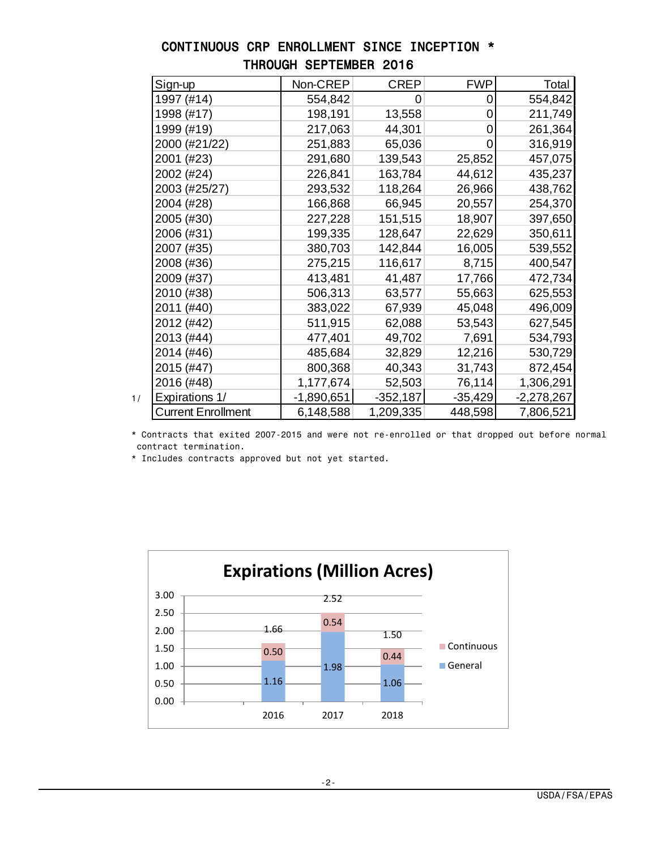| Sign-up                   | Non-CREP   | <b>CREP</b> | <b>FWP</b> | Total        |
|---------------------------|------------|-------------|------------|--------------|
| 1997 (#14)                | 554,842    | 0           | 0          | 554,842      |
| 1998 (#17)                | 198,191    | 13,558      | 0          | 211,749      |
| 1999 (#19)                | 217,063    | 44,301      | 0          | 261,364      |
| 2000 (#21/22)             | 251,883    | 65,036      | 0          | 316,919      |
| 2001 (#23)                | 291,680    | 139,543     | 25,852     | 457,075      |
| 2002 (#24)                | 226,841    | 163,784     | 44,612     | 435,237      |
| 2003 (#25/27)             | 293,532    | 118,264     | 26,966     | 438,762      |
| 2004 (#28)                | 166,868    | 66,945      | 20,557     | 254,370      |
| 2005 (#30)                | 227,228    | 151,515     | 18,907     | 397,650      |
| 2006 (#31)                | 199,335    | 128,647     | 22,629     | 350,611      |
| 2007 (#35)                | 380,703    | 142,844     | 16,005     | 539,552      |
| 2008 (#36)                | 275,215    | 116,617     | 8,715      | 400,547      |
| 2009 (#37)                | 413,481    | 41,487      | 17,766     | 472,734      |
| 2010 (#38)                | 506,313    | 63,577      | 55,663     | 625,553      |
| 2011 (#40)                | 383,022    | 67,939      | 45,048     | 496,009      |
| 2012 (#42)                | 511,915    | 62,088      | 53,543     | 627,545      |
| 2013 (#44)                | 477,401    | 49,702      | 7,691      | 534,793      |
| 2014 (#46)                | 485,684    | 32,829      | 12,216     | 530,729      |
| 2015 (#47)                | 800,368    | 40,343      | 31,743     | 872,454      |
| 2016 (#48)                | 1,177,674  | 52,503      | 76,114     | 1,306,291    |
| Expirations 1/            | -1,890,651 | $-352,187$  | $-35,429$  | $-2,278,267$ |
| <b>Current Enrollment</b> | 6,148,588  | 1,209,335   | 448,598    | 7,806,521    |

### CONTINUOUS CRP ENROLLMENT SINCE INCEPTION \* THROUGH SEPTEMBER 2016

 \* Contracts that exited 2007-2015 and were not re-enrolled or that dropped out before normal contract termination.

\* Includes contracts approved but not yet started.

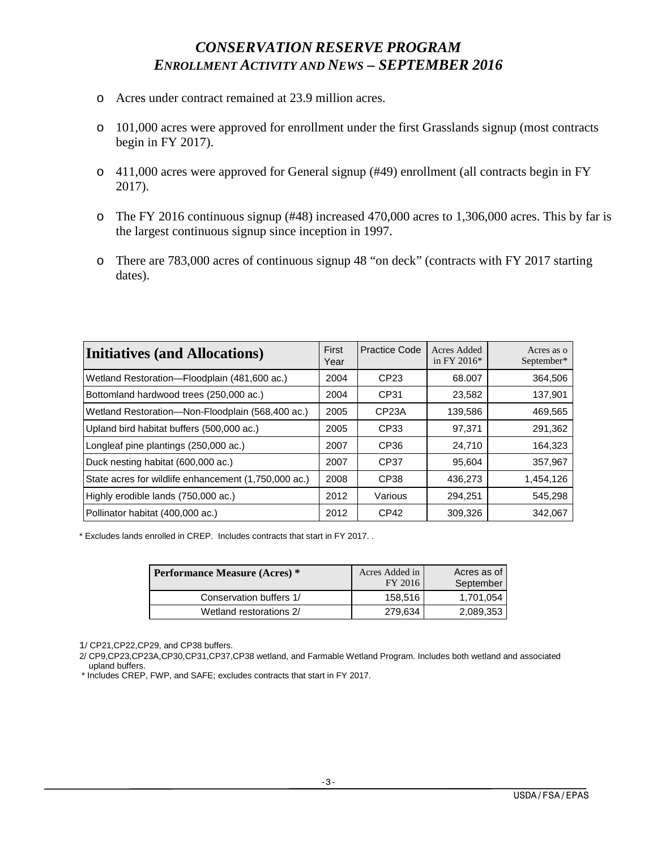# *CONSERVATION RESERVE PROGRAM ENROLLMENT ACTIVITY AND NEWS – SEPTEMBER 2016*

- o Acres under contract remained at 23.9 million acres.
- o 101,000 acres were approved for enrollment under the first Grasslands signup (most contracts begin in FY 2017).
- o 411,000 acres were approved for General signup (#49) enrollment (all contracts begin in FY 2017).
- o The FY 2016 continuous signup (#48) increased 470,000 acres to 1,306,000 acres. This by far is the largest continuous signup since inception in 1997.
- o There are 783,000 acres of continuous signup 48 "on deck" (contracts with FY 2017 starting dates).

| <b>Initiatives (and Allocations)</b>                 | First<br>Year | Practice Code      | Acres Added<br>in FY 2016 $*$ | Acres as o<br>September* |
|------------------------------------------------------|---------------|--------------------|-------------------------------|--------------------------|
| Wetland Restoration-Floodplain (481,600 ac.)         | 2004          | CP <sub>23</sub>   | 68,007                        | 364,506                  |
| Bottomland hardwood trees (250,000 ac.)              | 2004          | CP31               | 23,582                        | 137,901                  |
| Wetland Restoration-Non-Floodplain (568,400 ac.)     | 2005          | CP <sub>23</sub> A | 139,586                       | 469,565                  |
| Upland bird habitat buffers (500,000 ac.)            | 2005          | CP33               | 97.371                        | 291,362                  |
| Longleaf pine plantings (250,000 ac.)                | 2007          | CP36               | 24,710                        | 164,323                  |
| Duck nesting habitat (600,000 ac.)                   | 2007          | CP37               | 95,604                        | 357,967                  |
| State acres for wildlife enhancement (1,750,000 ac.) | 2008          | CP38               | 436,273                       | 1,454,126                |
| Highly erodible lands (750,000 ac.)                  | 2012          | Various            | 294,251                       | 545,298                  |
| Pollinator habitat (400,000 ac.)                     | 2012          | CP42               | 309,326                       | 342,067                  |

\* Excludes lands enrolled in CREP. Includes contracts that start in FY 2017. .

| <b>Performance Measure (Acres)</b> * | Acres Added in<br>FY 2016 | Acres as of<br>September |
|--------------------------------------|---------------------------|--------------------------|
| Conservation buffers 1/              | 158.516                   | 1.701.054                |
| Wetland restorations 2/              | 279.634                   | 2,089,353                |

1/ CP21,CP22,CP29, and CP38 buffers.

 2/ CP9,CP23,CP23A,CP30,CP31,CP37,CP38 wetland, and Farmable Wetland Program. Includes both wetland and associated upland buffers.

\* Includes CREP, FWP, and SAFE; excludes contracts that start in FY 2017.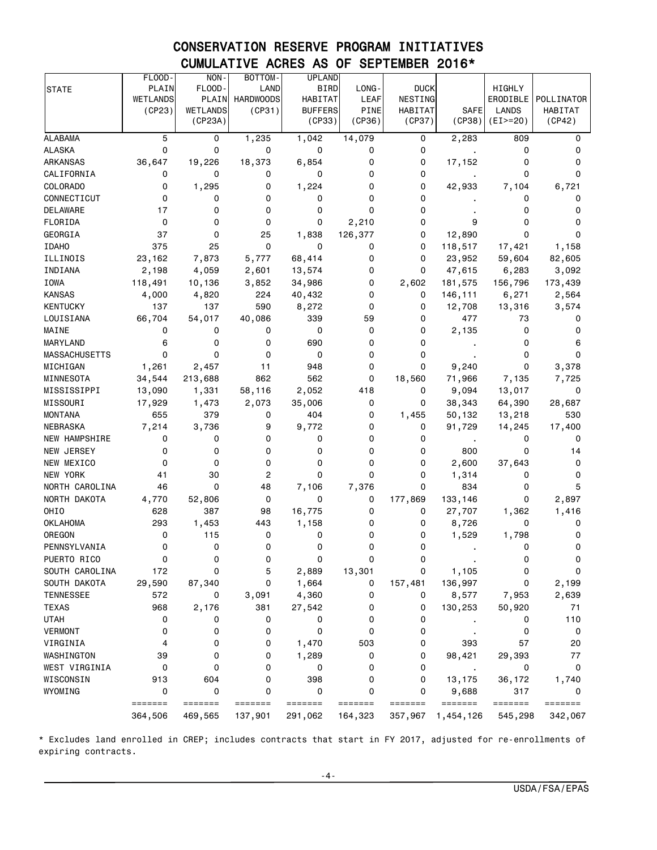# CONSERVATION RESERVE PROGRAM INITIATIVES CUMULATIVE ACRES AS OF SEPTEMBER 2016\*

|                      | FLOOD-   | NON-            | BOTTOM-          | <b>UPLAND</b>  |             |                                                                  |                |            |            |
|----------------------|----------|-----------------|------------------|----------------|-------------|------------------------------------------------------------------|----------------|------------|------------|
| <b>STATE</b>         | PLAIN    | FLOOD-          | LAND             | <b>BIRD</b>    | LONG-       | <b>DUCK</b>                                                      |                | HIGHLY     |            |
|                      | WETLANDS | PLAIN           | <b>HARDWOODS</b> | HABITAT        | LEAF        | NESTING                                                          |                | ERODIBLE   | POLLINATOR |
|                      | (CP23)   | <b>WETLANDS</b> | (CP31)           | <b>BUFFERS</b> | <b>PINE</b> | <b>HABITAT</b>                                                   | SAFE           | LANDS      | HABITAT    |
|                      |          | (CP23A)         |                  | (CP33)         | (CP36)      | (CP37)                                                           | (CP38)         | $(EI>=20)$ | (CP42)     |
| <b>ALABAMA</b>       | 5        | 0               | 1,235            | 1,042          | 14,079      | 0                                                                | 2,283          | 809        | 0          |
| <b>ALASKA</b>        | 0        | 0               | 0                | 0              | 0           | 0                                                                |                | 0          | 0          |
| ARKANSAS             | 36,647   | 19,226          | 18,373           | 6,854          | 0           | 0                                                                | 17,152         | 0          | 0          |
| CALIFORNIA           | 0        | 0               | 0                | 0              | 0           | 0                                                                |                | 0          | 0          |
| <b>COLORADO</b>      | 0        | 1,295           | 0                | 1,224          | 0           | 0                                                                | 42,933         | 7,104      | 6,721      |
| CONNECTICUT          | 0        | 0               | 0                | 0              | 0           | 0                                                                |                | 0          | 0          |
| <b>DELAWARE</b>      | 17       | 0               | 0                | 0              | 0           | 0                                                                |                | 0          | 0          |
| FLORIDA              | 0        | 0               | 0                | 0              | 2,210       | 0                                                                | 9              | 0          | 0          |
| GEORGIA              | 37       | 0               | 25               | 1,838          | 126,377     | 0                                                                | 12,890         | 0          | 0          |
| <b>IDAHO</b>         | 375      | 25              | 0                | 0              | 0           | 0                                                                | 118,517        | 17,421     | 1,158      |
| ILLINOIS             | 23,162   | 7,873           | 5,777            | 68,414         | 0           | 0                                                                | 23,952         | 59,604     | 82,605     |
| INDIANA              | 2,198    | 4,059           | 2,601            | 13,574         | 0           | 0                                                                | 47,615         | 6,283      | 3,092      |
| <b>IOWA</b>          | 118,491  | 10,136          | 3,852            | 34,986         | 0           | 2,602                                                            | 181,575        | 156,796    | 173,439    |
| <b>KANSAS</b>        | 4,000    | 4,820           | 224              | 40,432         | 0           | 0                                                                | 146,111        | 6,271      | 2,564      |
| <b>KENTUCKY</b>      | 137      | 137             | 590              | 8,272          | 0           | 0                                                                | 12,708         | 13,316     | 3,574      |
| LOUISIANA            | 66,704   | 54,017          | 40,086           | 339            | 59          | 0                                                                | 477            | 73         | 0          |
| MAINE                | 0        | 0               | 0                | 0              | 0           | 0                                                                | 2,135          | 0          | 0          |
| <b>MARYLAND</b>      | 6        | 0               | 0                | 690            | 0           | 0                                                                |                | 0          | 6          |
| <b>MASSACHUSETTS</b> | $\Omega$ | 0               | 0                | 0              | 0           | 0                                                                |                | 0          | 0          |
| MICHIGAN             | 1,261    | 2,457           | 11               | 948            | 0           | 0                                                                | 9,240          | 0          | 3,378      |
| MINNESOTA            | 34,544   | 213,688         | 862              | 562            | 0           | 18,560                                                           | 71,966         | 7,135      | 7,725      |
| MISSISSIPPI          | 13,090   | 1,331           | 58,116           | 2,052          | 418         | 0                                                                | 9,094          | 13,017     | 0          |
| MISSOURI             | 17,929   | 1,473           | 2,073            | 35,006         | 0           | 0                                                                | 38,343         | 64,390     | 28,687     |
| <b>MONTANA</b>       | 655      | 379             | 0                | 404            | 0           | 1,455                                                            | 50,132         | 13,218     | 530        |
| <b>NEBRASKA</b>      | 7,214    | 3,736           | 9                | 9,772          | 0           | 0                                                                | 91,729         | 14,245     | 17,400     |
| NEW HAMPSHIRE        | 0        | 0               | 0                | 0              | 0           | 0                                                                | $\blacksquare$ | 0          | 0          |
| NEW JERSEY           | 0        | 0               | 0                | 0              | 0           | 0                                                                | 800            | 0          | 14         |
| NEW MEXICO           | 0        | 0               | 0                | 0              | 0           | 0                                                                | 2,600          | 37,643     | 0          |
| NEW YORK             | 41       | 30              | $\overline{2}$   | 0              | 0           | 0                                                                | 1,314          | 0          | 0          |
| NORTH CAROLINA       | 46       | 0               | 48               | 7,106          | 7,376       | 0                                                                | 834            | 0          | 5          |
| NORTH DAKOTA         | 4,770    | 52,806          | 0                | 0              | 0           | 177,869                                                          | 133,146        | 0          | 2,897      |
| OHIO                 | 628      | 387             | 98               | 16,775         | 0           | 0                                                                | 27,707         | 1,362      | 1,416      |
| <b>OKLAHOMA</b>      | 293      | 1,453           | 443              | 1,158          | 0           | 0                                                                | 8,726          | 0          | 0          |
| OREGON               | 0        | 115             | 0                | 0              | 0           | 0                                                                | 1,529          | 1,798      | 0          |
| PENNSYLVANIA         | 0        | 0               | 0                | 0              | 0           | 0                                                                |                | 0          | 0          |
| PUERTO RICO          | 0        | 0               | 0                | 0              | 0           | 0                                                                |                | 0          | 0          |
| SOUTH CAROLINA       | 172      | 0               | 5                | 2,889          | 13,301      | 0                                                                | 1,105          | 0          | 0          |
| SOUTH DAKOTA         | 29,590   | 87,340          | 0                | 1,664          | 0           | 157,481                                                          | 136,997        | 0          | 2,199      |
| <b>TENNESSEE</b>     | 572      | 0               | 3,091            | 4,360          | 0           | 0                                                                | 8,577          | 7,953      | 2,639      |
| <b>TEXAS</b>         | 968      | 2,176           | 381              | 27,542         | 0           | 0                                                                | 130,253        | 50,920     | 71         |
| <b>UTAH</b>          | 0        | 0               | 0                | 0              | 0           | 0                                                                |                | 0          | 110        |
| <b>VERMONT</b>       | 0        | 0               | 0                | 0              | 0           | 0                                                                |                | 0          | 0          |
| VIRGINIA             | 4        | 0               | 0                | 1,470          | 503         | 0                                                                | 393            | 57         | 20         |
| WASHINGTON           | 39       | 0               | 0                | 1,289          | 0           | 0                                                                | 98,421         | 29,393     | 77         |
| WEST VIRGINIA        | 0        | 0               | 0                | 0              | 0           | 0                                                                |                | 0          | 0          |
| WISCONSIN            | 913      | 604             | 0                | 398            | 0           | 0                                                                | 13,175         | 36,172     | 1,740      |
| WYOMING              | 0        | 0               | 0                | 0              | 0           | 0                                                                | 9,688          | 317        | 0          |
|                      | =======  | =======         | =======          | =======        | =======     | $\qquad \qquad \equiv \equiv \equiv \equiv \equiv \equiv \equiv$ | =======        | =======    | =======    |
|                      | 364,506  | 469,565         | 137,901          | 291,062        | 164,323     | 357,967                                                          | 1,454,126      | 545,298    | 342,067    |

\* Excludes land enrolled in CREP; includes contracts that start in FY 2017, adjusted for re-enrollments of expiring contracts.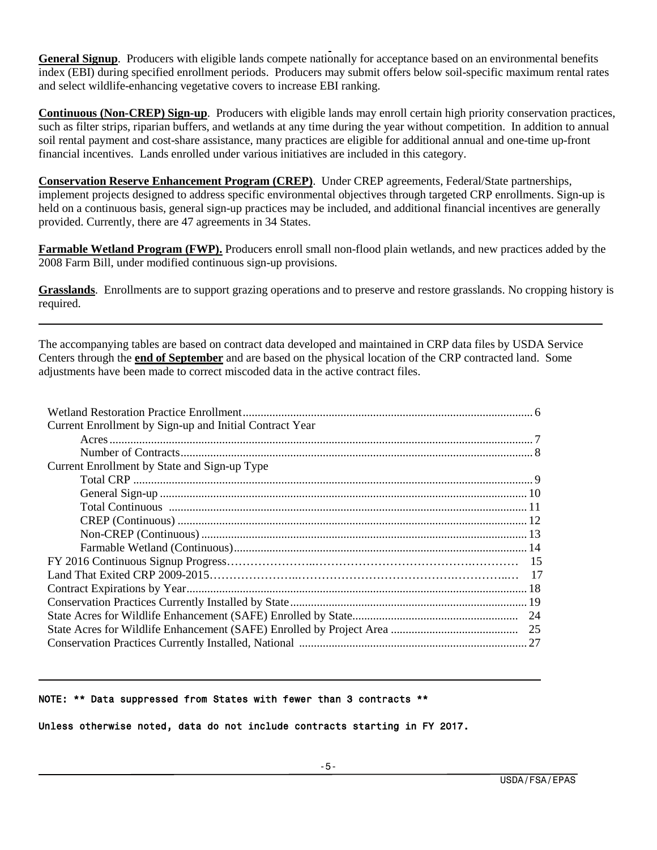**General Signup**. Producers with eligible lands compete nationally for acceptance based on an environmental benefits index (EBI) during specified enrollment periods. Producers may submit offers below soil-specific maximum rental rates and select wildlife-enhancing vegetative covers to increase EBI ranking.

**Continuous (Non-CREP) Sign-up**. Producers with eligible lands may enroll certain high priority conservation practices, such as filter strips, riparian buffers, and wetlands at any time during the year without competition. In addition to annual soil rental payment and cost-share assistance, many practices are eligible for additional annual and one-time up-front financial incentives. Lands enrolled under various initiatives are included in this category.

**Conservation Reserve Enhancement Program (CREP)**. Under CREP agreements, Federal/State partnerships, implement projects designed to address specific environmental objectives through targeted CRP enrollments. Sign-up is held on a continuous basis, general sign-up practices may be included, and additional financial incentives are generally provided. Currently, there are 47 agreements in 34 States.

**Farmable Wetland Program (FWP).** Producers enroll small non-flood plain wetlands, and new practices added by the 2008 Farm Bill, under modified continuous sign-up provisions.

**Grasslands**. Enrollments are to support grazing operations and to preserve and restore grasslands. No cropping history is required.

The accompanying tables are based on contract data developed and maintained in CRP data files by USDA Service Centers through the **end of September** and are based on the physical location of the CRP contracted land. Some adjustments have been made to correct miscoded data in the active contract files.

| Current Enrollment by Sign-up and Initial Contract Year |  |
|---------------------------------------------------------|--|
|                                                         |  |
|                                                         |  |
| Current Enrollment by State and Sign-up Type            |  |
|                                                         |  |
|                                                         |  |
|                                                         |  |
|                                                         |  |
|                                                         |  |
|                                                         |  |
|                                                         |  |
|                                                         |  |
|                                                         |  |
|                                                         |  |
|                                                         |  |
|                                                         |  |
|                                                         |  |

#### NOTE: \*\* Data suppressed from States with fewer than 3 contracts \*\*

Unless otherwise noted, data do not include contracts starting in FY 2017.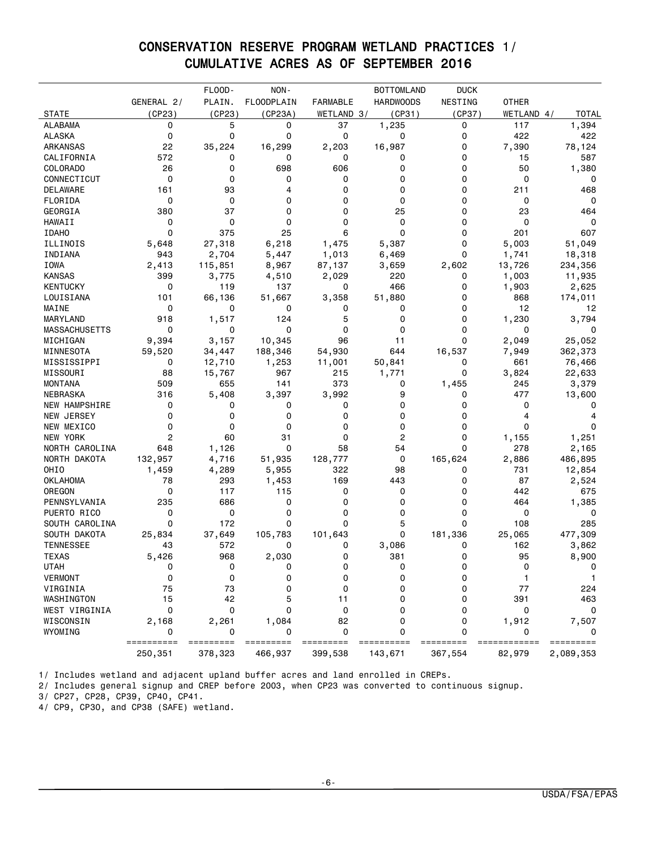# CONSERVATION RESERVE PROGRAM WETLAND PRACTICES 1/ CUMULATIVE ACRES AS OF SEPTEMBER 2016

|                      |            | FLOOD-    | NON-              |                 | <b>BOTTOMLAND</b> | <b>DUCK</b> |              |              |
|----------------------|------------|-----------|-------------------|-----------------|-------------------|-------------|--------------|--------------|
|                      | GENERAL 2/ | PLAIN.    | <b>FLOODPLAIN</b> | <b>FARMABLE</b> | <b>HARDWOODS</b>  | NESTING     | <b>OTHER</b> |              |
| <b>STATE</b>         | (CP23)     | (CP23)    | (CP23A)           | WETLAND 3/      | (CP31)            | (CP37)      | WETLAND 4/   | <b>TOTAL</b> |
| <b>ALABAMA</b>       | 0          | 5         | 0                 | 37              | 1,235             | 0           | 117          | 1,394        |
| <b>ALASKA</b>        | 0          | 0         | 0                 | 0               | 0                 | 0           | 422          | 422          |
| ARKANSAS             | 22         | 35,224    | 16,299            | 2,203           | 16,987            | 0           | 7,390        | 78,124       |
| CALIFORNIA           | 572        | 0         | 0                 | 0               | 0                 | 0           | 15           | 587          |
| COLORADO             | 26         | 0         | 698               | 606             | 0                 | 0           | 50           | 1,380        |
| CONNECTICUT          | 0          | 0         | 0                 | 0               | 0                 | 0           | 0            | 0            |
| DELAWARE             | 161        | 93        | 4                 | 0               | 0                 | 0           | 211          | 468          |
| FLORIDA              | 0          | 0         | 0                 | 0               | 0                 | 0           | 0            | 0            |
| GEORGIA              | 380        | 37        | 0                 | 0               | 25                | 0           | 23           | 464          |
| <b>HAWAII</b>        | 0          | 0         | 0                 | 0               | 0                 | 0           | 0            | 0            |
| <b>IDAHO</b>         | 0          | 375       | 25                | 6               | 0                 | 0           | 201          | 607          |
| ILLINOIS             | 5,648      | 27,318    | 6,218             | 1,475           | 5,387             | 0           | 5,003        | 51,049       |
| INDIANA              | 943        | 2,704     | 5,447             | 1,013           | 6,469             | 0           | 1,741        | 18,318       |
| IOWA                 | 2,413      | 115,851   | 8,967             | 87,137          | 3,659             | 2,602       | 13,726       | 234,356      |
| <b>KANSAS</b>        | 399        | 3,775     | 4,510             | 2,029           | 220               | 0           | 1,003        | 11,935       |
| <b>KENTUCKY</b>      | 0          | 119       | 137               | 0               | 466               | 0           | 1,903        | 2,625        |
| LOUISIANA            | 101        | 66,136    | 51,667            | 3,358           | 51,880            | 0           | 868          | 174,011      |
| MAINE                | 0          | 0         | 0                 | 0               | 0                 | 0           | 12           | 12           |
| MARYLAND             | 918        | 1,517     | 124               | 5               | 0                 | 0           | 1,230        | 3,794        |
| <b>MASSACHUSETTS</b> | 0          | 0         | 0                 | 0               | 0                 | 0           | 0            | 0            |
| MICHIGAN             | 9,394      | 3,157     | 10,345            | 96              | 11                | $\mathbf 0$ | 2,049        | 25,052       |
| MINNESOTA            | 59,520     | 34,447    | 188,346           | 54,930          | 644               | 16,537      | 7,949        | 362,373      |
| MISSISSIPPI          | 0          | 12,710    | 1,253             | 11,001          | 50,841            | 0           | 661          | 76,466       |
| MISSOURI             | 88         | 15,767    | 967               | 215             | 1,771             | 0           | 3,824        | 22,633       |
| <b>MONTANA</b>       | 509        | 655       | 141               | 373             | 0                 | 1,455       | 245          | 3,379        |
| NEBRASKA             | 316        | 5,408     | 3,397             | 3,992           | 9                 | 0           | 477          | 13,600       |
| NEW HAMPSHIRE        | 0          | 0         | 0                 | 0               | 0                 | 0           | 0            | $\Omega$     |
| <b>NEW JERSEY</b>    | 0          | 0         | 0                 | 0               | 0                 | 0           | 4            | 4            |
| NEW MEXICO           | 0          | 0         | 0                 | 0               | 0                 | 0           | 0            | 0            |
| NEW YORK             | 2          | 60        | 31                | 0               | 2                 | 0           | 1,155        | 1,251        |
| NORTH CAROLINA       | 648        | 1,126     | 0                 | 58              | 54                | 0           | 278          | 2,165        |
| NORTH DAKOTA         | 132,957    | 4,716     | 51,935            | 128,777         | 0                 | 165,624     | 2,886        | 486,895      |
| OHIO                 | 1,459      | 4,289     | 5,955             | 322             | 98                | 0           | 731          | 12,854       |
| <b>OKLAHOMA</b>      | 78         | 293       | 1,453             | 169             | 443               | 0           | 87           | 2,524        |
| OREGON               | 0          | 117       | 115               | 0               | 0                 | 0           | 442          | 675          |
| PENNSYLVANIA         | 235        | 686       | 0                 | 0               | 0                 | 0           | 464          | 1,385        |
| PUERTO RICO          | 0          | 0         | 0                 | 0               | 0                 | 0           | 0            | 0            |
| SOUTH CAROLINA       | 0          | 172       | 0                 | 0               | 5                 | 0           | 108          | 285          |
| SOUTH DAKOTA         | 25,834     | 37,649    | 105,783           | 101,643         | 0                 | 181,336     | 25,065       | 477,309      |
| <b>TENNESSEE</b>     | 43         | 572       | 0                 | 0               | 3,086             | 0           | 162          | 3,862        |
| <b>TEXAS</b>         | 5,426      | 968       | 2,030             | 0               | 381               | 0           | 95           | 8,900        |
| <b>UTAH</b>          | 0          | 0         | 0                 | 0               | 0                 | 0           | 0            | 0            |
| <b>VERMONT</b>       | 0          | 0         | 0                 | 0               | 0                 | 0           | 1            | $\mathbf{1}$ |
| VIRGINIA             | 75         | 73        | 0                 | 0               | 0                 | 0           | 77           | 224          |
| WASHINGTON           | 15         | 42        | 5                 | 11              | 0                 | 0           | 391          | 463          |
| WEST VIRGINIA        | 0          | 0         | 0                 | 0               | 0                 | 0           | 0            | 0            |
| WISCONSIN            | 2,168      | 2,261     | 1,084             | 82              | 0                 | 0           | 1,912        | 7,507        |
| WYOMING              | 0          | 0         | 0                 | $\mathbf 0$     | 0                 | 0           |              |              |
|                      | ========== | ========= | =========         | =========       |                   |             | =======      | =========    |
|                      | 250,351    | 378,323   | 466,937           | 399,538         | 143,671           | 367,554     | 82,979       | 2,089,353    |

1/ Includes wetland and adjacent upland buffer acres and land enrolled in CREPs.

2/ Includes general signup and CREP before 2003, when CP23 was converted to continuous signup.

3/ CP27, CP28, CP39, CP40, CP41.

4/ CP9, CP30, and CP38 (SAFE) wetland.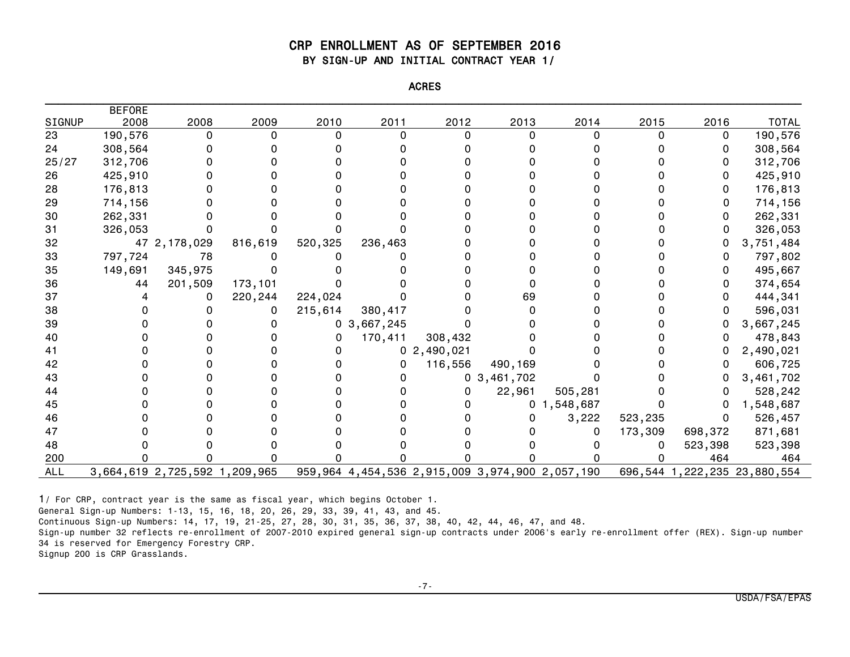#### CRP ENROLLMENT AS OF SEPTEMBER 2016 BY SIGN-UP AND INITIAL CONTRACT YEAR 1/

| <b>ACRES</b> |
|--------------|
|              |
|              |

|            | <b>BEFORE</b> |                               |         |         |                                                 |                |                |                |         |         |                              |
|------------|---------------|-------------------------------|---------|---------|-------------------------------------------------|----------------|----------------|----------------|---------|---------|------------------------------|
| SIGNUP     | 2008          | 2008                          | 2009    | 2010    | 2011                                            | 2012           | 2013           | 2014           | 2015    | 2016    | <b>TOTAL</b>                 |
| 23         | 190,576       | 0                             |         | O       | O                                               |                |                |                |         | 0       | 190,576                      |
| 24         | 308,564       |                               |         |         |                                                 |                |                |                |         |         | 308,564                      |
| 25/27      | 312,706       |                               |         |         |                                                 |                |                |                |         |         | 312,706                      |
| 26         | 425,910       |                               |         |         |                                                 |                |                |                |         |         | 425,910                      |
| 28         | 176,813       |                               |         |         |                                                 |                |                |                |         |         | 176,813                      |
| 29         | 714,156       |                               |         |         |                                                 |                |                |                |         | 0       | 714,156                      |
| 30         | 262,331       |                               |         |         |                                                 |                |                |                |         |         | 262,331                      |
| 31         | 326,053       |                               |         |         |                                                 |                |                |                |         |         | 326,053                      |
| 32         |               | 47 2, 178, 029                | 816,619 | 520,325 | 236,463                                         |                |                |                |         |         | 3,751,484                    |
| 33         | 797,724       | 78                            |         |         |                                                 |                |                |                |         |         | 797,802                      |
| 35         | 149,691       | 345,975                       |         |         |                                                 |                |                |                |         |         | 495,667                      |
| 36         | 44            | 201,509                       | 173,101 |         |                                                 |                |                |                |         | 0       | 374,654                      |
| 37         |               | 0                             | 220,244 | 224,024 |                                                 |                | 69             |                |         | 0       | 444,341                      |
| 38         |               |                               |         | 215,614 | 380,417                                         |                |                |                |         |         | 596,031                      |
| 39         |               |                               |         |         | 0, 3, 667, 245                                  |                |                |                |         |         | 3,667,245                    |
| 40         |               |                               |         | 0       | 170,411                                         | 308,432        |                |                |         |         | 478,843                      |
| 41         |               |                               |         |         |                                                 | 0, 2, 490, 021 |                |                |         |         | 2,490,021                    |
| 42         |               |                               |         |         | 0                                               | 116,556        | 490,169        |                |         |         | 606,725                      |
| 43         |               |                               |         |         |                                                 |                | 0, 3, 461, 702 |                |         |         | 3,461,702                    |
| 44         |               |                               |         |         |                                                 |                | 22,961         | 505,281        |         |         | 528,242                      |
| 45         |               |                               |         |         |                                                 |                |                | 0, 1, 548, 687 |         |         | 1,548,687                    |
| 46         |               |                               |         |         |                                                 |                |                | 3,222          | 523,235 | 0       | 526,457                      |
| 47         |               |                               |         |         |                                                 |                |                |                | 173,309 | 698,372 | 871,681                      |
| 48         |               |                               |         |         |                                                 |                |                |                |         | 523,398 | 523,398                      |
| 200        |               |                               |         |         |                                                 |                |                |                |         | 464     | 464                          |
| <b>ALL</b> |               | 3,664,619 2,725,592 1,209,965 |         |         | 959,964 4,454,536 2,915,009 3,974,900 2,057,190 |                |                |                |         |         | 696,544 1,222,235 23,880,554 |

1/ For CRP, contract year is the same as fiscal year, which begins October 1.

General Sign-up Numbers: 1-13, 15, 16, 18, 20, 26, 29, 33, 39, 41, 43, and 45.

Continuous Sign-up Numbers: 14, 17, 19, 21-25, 27, 28, 30, 31, 35, 36, 37, 38, 40, 42, 44, 46, 47, and 48.

Sign-up number 32 reflects re-enrollment of 2007-2010 expired general sign-up contracts under 2006's early re-enrollment offer (REX). Sign-up number 34 is reserved for Emergency Forestry CRP.

Signup 200 is CRP Grasslands.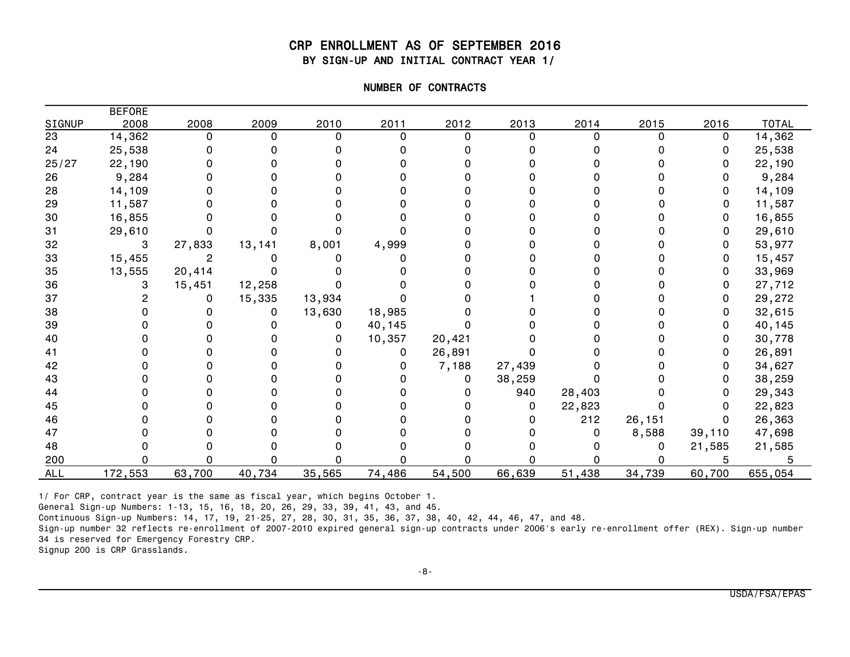#### CRP ENROLLMENT AS OF SEPTEMBER 2016 BY SIGN-UP AND INITIAL CONTRACT YEAR 1/

| NUMBER OF CONTRACTS |
|---------------------|
|                     |
|                     |

|               | <b>BEFORE</b> |        |        |        |        |          |        |        |        |        |              |
|---------------|---------------|--------|--------|--------|--------|----------|--------|--------|--------|--------|--------------|
| <b>SIGNUP</b> | 2008          | 2008   | 2009   | 2010   | 2011   | 2012     | 2013   | 2014   | 2015   | 2016   | <b>TOTAL</b> |
| 23            | 14,362        | O      |        |        | n      | $\Omega$ |        |        |        | 0      | 14,362       |
| 24            | 25,538        |        |        |        |        |          |        |        |        | 0      | 25,538       |
| 25/27         | 22,190        |        |        |        |        |          |        |        |        | 0      | 22,190       |
| 26            | 9,284         |        |        |        |        |          |        |        |        |        | 9,284        |
| 28            | 14,109        |        |        |        |        |          |        |        |        | 0      | 14,109       |
| 29            | 11,587        |        |        |        |        |          |        |        |        | 0      | 11,587       |
| 30            | 16,855        |        |        |        |        |          |        |        |        | 0      | 16,855       |
| 31            | 29,610        |        |        |        |        |          |        |        |        | 0      | 29,610       |
| 32            | 3             | 27,833 | 13,141 | 8,001  | 4,999  |          |        |        |        | 0      | 53,977       |
| 33            | 15,455        |        |        |        |        |          |        |        |        | 0      | 15,457       |
| 35            | 13,555        | 20,414 |        |        |        |          |        |        |        | 0      | 33,969       |
| 36            |               | 15,451 | 12,258 |        |        |          |        |        |        | 0      | 27,712       |
| 37            |               | 0      | 15,335 | 13,934 |        |          |        |        |        | 0      | 29,272       |
| 38            |               |        |        | 13,630 | 18,985 |          |        |        |        | 0      | 32,615       |
| 39            |               |        |        | 0      | 40,145 |          |        |        |        | 0      | 40,145       |
| 40            |               |        |        |        | 10,357 | 20,421   |        |        |        | 0      | 30,778       |
| 41            |               |        |        |        | 0      | 26,891   |        |        |        |        | 26,891       |
| 42            |               |        |        |        | O      | 7,188    | 27,439 |        |        | 0      | 34,627       |
| 43            |               |        |        |        |        | 0        | 38,259 |        |        | 0      | 38,259       |
| 44            |               |        |        |        |        |          | 940    | 28,403 |        |        | 29,343       |
| 45            |               |        |        |        |        |          | 0      | 22,823 |        |        | 22,823       |
| 46            |               |        |        |        |        |          |        | 212    | 26,151 | 0      | 26,363       |
| 47            |               |        |        |        |        |          |        |        | 8,588  | 39,110 | 47,698       |
| 48            |               |        |        |        |        |          |        |        |        | 21,585 | 21,585       |
| 200           |               |        |        |        |        |          |        |        |        | 5      |              |
| <b>ALL</b>    | 172,553       | 63,700 | 40,734 | 35,565 | 74,486 | 54,500   | 66,639 | 51,438 | 34,739 | 60,700 | 655,054      |

1/ For CRP, contract year is the same as fiscal year, which begins October 1.

General Sign-up Numbers: 1-13, 15, 16, 18, 20, 26, 29, 33, 39, 41, 43, and 45.

Continuous Sign-up Numbers: 14, 17, 19, 21-25, 27, 28, 30, 31, 35, 36, 37, 38, 40, 42, 44, 46, 47, and 48.

Sign-up number 32 reflects re-enrollment of 2007-2010 expired general sign-up contracts under 2006's early re-enrollment offer (REX). Sign-up number 34 is reserved for Emergency Forestry CRP.

Signup 200 is CRP Grasslands.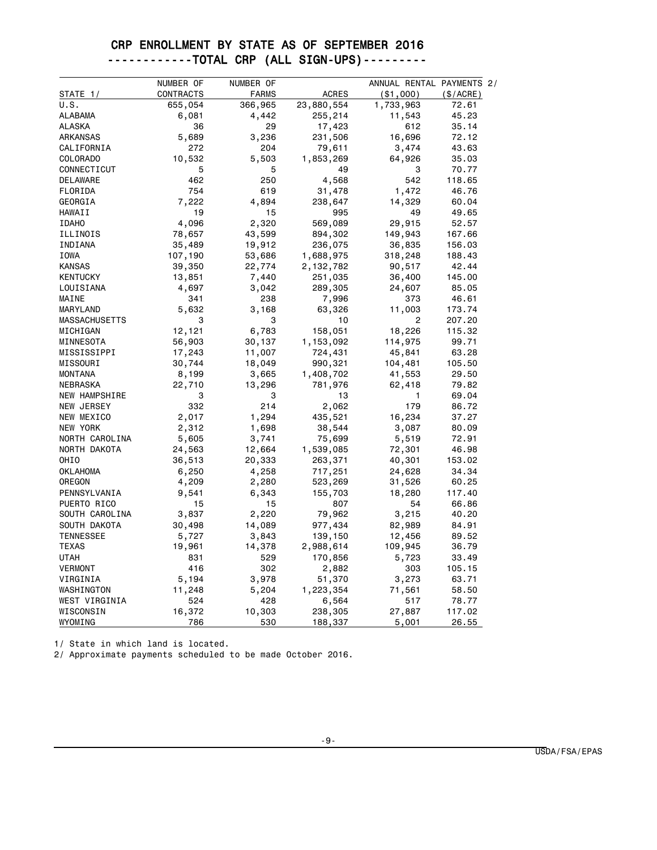### CRP ENROLLMENT BY STATE AS OF SEPTEMBER 2016 ------------TOTAL CRP (ALL SIGN-UPS)---------

|                      |           | NUMBER OF     |                    |            | ANNUAL RENTAL PAYMENTS 2/ |
|----------------------|-----------|---------------|--------------------|------------|---------------------------|
| STATE 1/             | CONTRACTS | <b>FARMS</b>  | <b>ACRES</b>       | ( \$1,000) | (\$/ACRE)                 |
| U.S.                 | 655,054   | 366,965       | 23,880,554         | 1,733,963  | 72.61                     |
| <b>ALABAMA</b>       | 6,081     | 4,442         | 255,214            | 11,543     | 45.23                     |
| ALASKA               | 36        | 29            | 17,423             | 612        | 35.14                     |
| ARKANSAS             | 5,689     | 3,236         | 231,506            | 16,696     | 72.12                     |
| CALIFORNIA           | 272       | 204           | 79,611             | 3,474      | 43.63                     |
| COLORADO             | 10,532    | 5,503         | 1,853,269          | 64,926     | 35.03                     |
| CONNECTICUT          | 5         | 5             | 49                 | 3          | 70.77                     |
| <b>DELAWARE</b>      | 462       | 250           | 4,568              | 542        | 118.65                    |
| FLORIDA              | 754       | 619           | 31,478             | 1,472      | 46.76                     |
| GEORGIA              | 7,222     | 4,894         | 238,647            | 14,329     | 60.04                     |
| HAWAII               | 19        | 15            | 995                | 49         | 49.65                     |
| <b>IDAHO</b>         | 4,096     | 2,320         | 569,089            | 29,915     | 52.57                     |
| ILLINOIS             | 78,657    | 43,599        | 894,302            | 149,943    | 167.66                    |
| INDIANA              | 35,489    | 19,912        | 236,075            | 36,835     | 156.03                    |
| <b>IOWA</b>          | 107,190   | 53,686        | 1,688,975          | 318,248    | 188.43                    |
| <b>KANSAS</b>        | 39,350    | 22,774        | 2,132,782          | 90,517     | 42.44                     |
| <b>KENTUCKY</b>      | 13,851    | 7,440         | 251,035            | 36,400     | 145.00                    |
| LOUISIANA            | 4,697     | 3,042         | 289,305            | 24,607     | 85.05                     |
| MAINE                | 341       | 238           | 7,996              | 373        | 46.61                     |
| MARYLAND             | 5,632     | 3,168         | 63,326             | 11,003     | 173.74                    |
| <b>MASSACHUSETTS</b> | 3         | 3             | 10                 | 2          | 207.20                    |
| MICHIGAN             | 12,121    | 6,783         | 158,051            | 18,226     | 115.32                    |
| MINNESOTA            | 56,903    | 30,137        | 1,153,092          | 114,975    | 99.71                     |
| MISSISSIPPI          | 17,243    | 11,007        | 724,431            | 45,841     | 63.28                     |
| MISSOURI             | 30,744    | 18,049        | 990,321            | 104,481    | 105.50                    |
| <b>MONTANA</b>       | 8,199     | 3,665         | 1,408,702          | 41,553     | 29.50                     |
| NEBRASKA             | 22,710    | 13,296        | 781,976            | 62,418     | 79.82                     |
| <b>NEW HAMPSHIRE</b> | 3         | 3             | 13                 | 1          | 69.04                     |
| NEW JERSEY           | 332       | 214           | 2,062              | 179        | 86.72                     |
| NEW MEXICO           | 2,017     | 1,294         | 435,521            | 16,234     | 37.27                     |
| <b>NEW YORK</b>      | 2,312     | 1,698         | 38,544             | 3,087      | 80.09                     |
| NORTH CAROLINA       | 5,605     | 3,741         | 75,699             | 5,519      | 72.91                     |
| NORTH DAKOTA         | 24,563    | 12,664        | 1,539,085          | 72,301     | 46.98                     |
| OHI <sub>0</sub>     | 36,513    | 20,333        | 263,371            | 40,301     | 153.02                    |
| <b>OKLAHOMA</b>      | 6,250     | 4,258         | 717,251            | 24,628     | 34.34                     |
| OREGON               | 4,209     | 2,280         | 523,269            | 31,526     | 60.25                     |
| PENNSYLVANIA         | 9,541     | 6,343         | 155,703            | 18,280     | 117.40                    |
| PUERTO RICO          | 15        | 15            | 807                | 54         | 66.86                     |
| SOUTH CAROLINA       | 3,837     | 2,220         | 79,962             | 3,215      | 40.20                     |
| SOUTH DAKOTA         | 30,498    | 14,089        | 977,434            | 82,989     | 84.91                     |
| <b>TENNESSEE</b>     | 5,727     | 3,843         | 139,150            | 12,456     | 89.52                     |
| TEXAS                | 19,961    | 14,378        | 2,988,614          | 109,945    | 36.79                     |
| UTAH                 | 831       | 529           | 170,856            | 5,723      | 33.49                     |
| <b>VERMONT</b>       | 416       | 302           | 2,882              | 303        | 105.15                    |
| VIRGINIA             | 5,194     | 3,978         | 51,370             | 3,273      | 63.71                     |
| WASHINGTON           | 11,248    | 5,204         |                    | 71,561     | 58.50                     |
| WEST VIRGINIA        | 524       | 428           | 1,223,354          | 517        | 78.77                     |
| WISCONSIN            | 16,372    |               | 6,564              | 27,887     | 117.02                    |
| WYOMING              | 786       | 10,303<br>530 | 238,305<br>188,337 | 5,001      | 26.55                     |

1/ State in which land is located.

2/ Approximate payments scheduled to be made October 2016.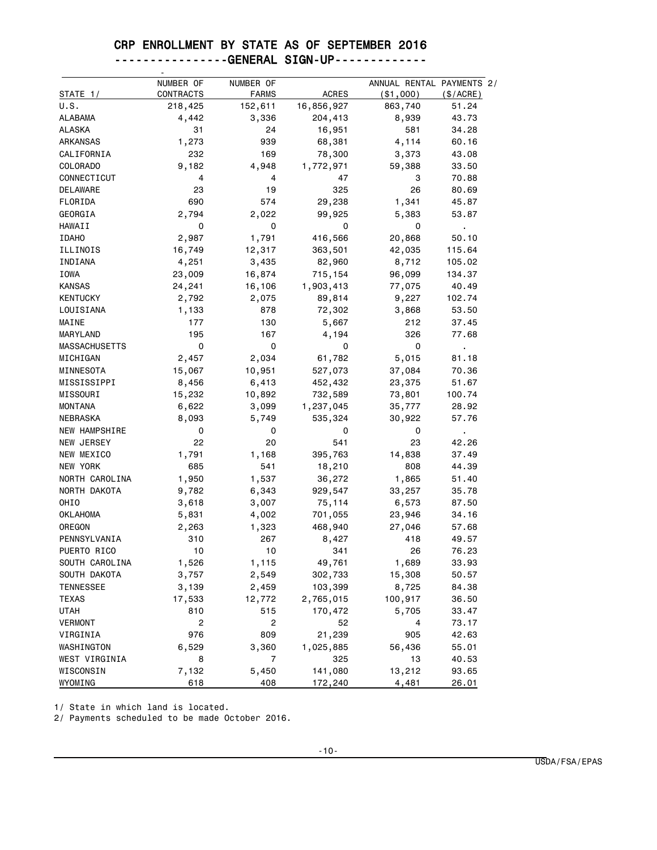### CRP ENROLLMENT BY STATE AS OF SEPTEMBER 2016

#### ----------------GENERAL SIGN-UP-------------

|                      | NUMBER OF               | NUMBER OF      |              | ANNUAL RENTAL PAYMENTS 2/ |                |
|----------------------|-------------------------|----------------|--------------|---------------------------|----------------|
| STATE 1/             | CONTRACTS               | <b>FARMS</b>   | <b>ACRES</b> | (\$1,000)                 | (S/ACRE)       |
| U.S.                 | 218,425                 | 152,611        | 16,856,927   | 863,740                   | 51.24          |
| <b>ALABAMA</b>       | 4,442                   | 3,336          | 204,413      | 8,939                     | 43.73          |
| <b>ALASKA</b>        | 31                      | 24             | 16,951       | 581                       | 34.28          |
| ARKANSAS             | 1,273                   | 939            | 68,381       | 4,114                     | 60.16          |
| CALIFORNIA           | 232                     | 169            | 78,300       | 3,373                     | 43.08          |
| COLORADO             | 9,182                   | 4,948          | 1,772,971    | 59,388                    | 33.50          |
| CONNECTICUT          | 4                       | 4              | 47           | 3                         | 70.88          |
| DELAWARE             | 23                      | 19             | 325          | 26                        | 80.69          |
| FLORIDA              | 690                     | 574            | 29,238       | 1,341                     | 45.87          |
| GEORGIA              | 2,794                   | 2,022          | 99,925       | 5,383                     | 53.87          |
| HAWAII               | 0                       | 0              | 0            | 0                         | $\blacksquare$ |
| <b>IDAHO</b>         | 2,987                   | 1,791          | 416,566      | 20,868                    | 50.10          |
| ILLINOIS             | 16,749                  | 12,317         | 363,501      | 42,035                    | 115.64         |
| INDIANA              | 4,251                   | 3,435          | 82,960       | 8,712                     | 105.02         |
| <b>IOWA</b>          | 23,009                  | 16,874         | 715,154      | 96,099                    | 134.37         |
| <b>KANSAS</b>        | 24,241                  | 16,106         | 1,903,413    | 77,075                    | 40.49          |
| <b>KENTUCKY</b>      | 2,792                   | 2,075          | 89,814       | 9,227                     | 102.74         |
| LOUISIANA            | 1,133                   | 878            | 72,302       | 3,868                     | 53.50          |
| MAINE                | 177                     | 130            | 5,667        | 212                       | 37.45          |
| <b>MARYLAND</b>      | 195                     | 167            | 4,194        | 326                       | 77.68          |
| <b>MASSACHUSETTS</b> | 0                       | 0              | 0            | 0                         | $\blacksquare$ |
| MICHIGAN             | 2,457                   | 2,034          | 61,782       | 5,015                     | 81.18          |
| MINNESOTA            | 15,067                  | 10,951         | 527,073      | 37,084                    | 70.36          |
| MISSISSIPPI          | 8,456                   | 6,413          | 452,432      | 23,375                    | 51.67          |
| MISSOURI             | 15,232                  | 10,892         | 732,589      | 73,801                    | 100.74         |
| <b>MONTANA</b>       | 6,622                   | 3,099          | 1,237,045    | 35,777                    | 28.92          |
| NEBRASKA             | 8,093                   | 5,749          | 535,324      | 30,922                    | 57.76          |
| <b>NEW HAMPSHIRE</b> | 0                       | 0              | 0            | 0                         | $\blacksquare$ |
| NEW JERSEY           | 22                      | 20             | 541          | 23                        | 42.26          |
| NEW MEXICO           | 1,791                   | 1,168          | 395,763      | 14,838                    | 37.49          |
| NEW YORK             | 685                     | 541            | 18,210       | 808                       | 44.39          |
| NORTH CAROLINA       | 1,950                   | 1,537          | 36,272       | 1,865                     | 51.40          |
| NORTH DAKOTA         | 9,782                   | 6,343          | 929,547      | 33,257                    | 35.78          |
| OHIO                 | 3,618                   | 3,007          | 75,114       | 6,573                     | 87.50          |
| <b>OKLAHOMA</b>      | 5,831                   | 4,002          | 701,055      | 23,946                    | 34.16          |
| OREGON               | 2,263                   | 1,323          | 468,940      | 27,046                    | 57.68          |
| PENNSYLVANIA         | 310                     | 267            | 8,427        | 418                       | 49.57          |
| PUERTO RICO          | 10                      | 10             | 341          | 26                        | 76.23          |
| SOUTH CAROLINA       | 1,526                   | 1,115          | 49,761       | 1,689                     | 33.93          |
| SOUTH DAKOTA         | 3,757                   | 2,549          | 302,733      | 15,308                    | 50.57          |
| <b>TENNESSEE</b>     | 3,139                   | 2,459          | 103,399      | 8,725                     | 84.38          |
| <b>TEXAS</b>         | 17,533                  | 12,772         | 2,765,015    | 100,917                   | 36.50          |
| <b>UTAH</b>          | 810                     | 515            | 170,472      | 5,705                     | 33.47          |
| <b>VERMONT</b>       | $\overline{\mathbf{c}}$ | 2              | 52           | 4                         | 73.17          |
| VIRGINIA             | 976                     | 809            | 21,239       | 905                       | 42.63          |
| WASHINGTON           | 6,529                   | 3,360          | 1,025,885    | 56,436                    | 55.01          |
| WEST VIRGINIA        | 8                       | $\overline{7}$ | 325          | 13                        | 40.53          |
| WISCONSIN            | 7,132                   | 5,450          | 141,080      | 13,212                    | 93.65          |
| WYOMING              | 618                     | 408            | 172,240      | 4,481                     | 26.01          |

1/ State in which land is located.

2/ Payments scheduled to be made October 2016.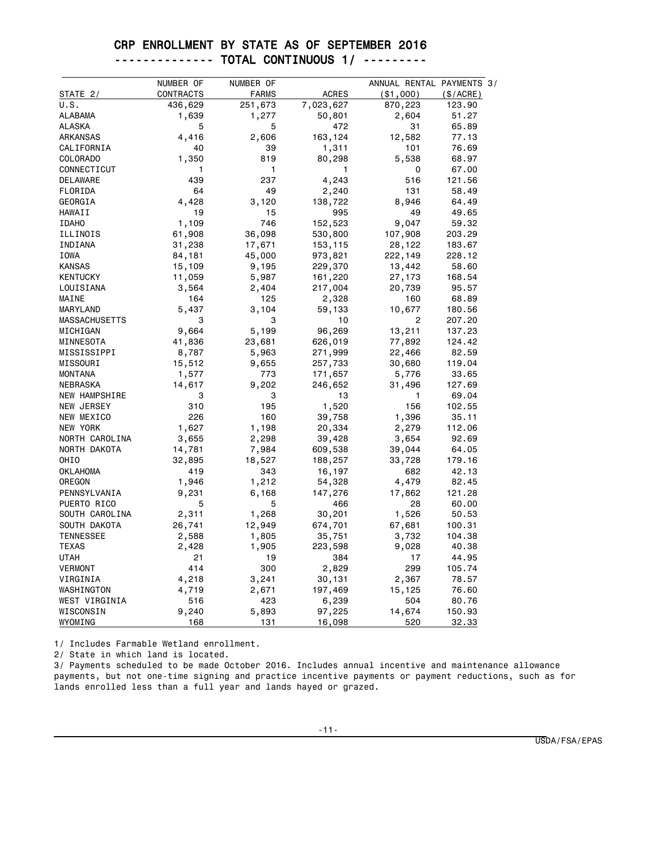#### CRP ENROLLMENT BY STATE AS OF SEPTEMBER 2016 -------------- TOTAL CONTINUOUS 1/ ---------

|                                                     | NUMBER OF                    | NUMBER OF                    |                                      | ANNUAL RENTAL PAYMENTS 3/      |             |
|-----------------------------------------------------|------------------------------|------------------------------|--------------------------------------|--------------------------------|-------------|
| STATE 2/                                            | CONTRACTS                    | <b>FARMS</b>                 | <b>ACRES</b>                         | ( \$1,000)                     | $(\$/ACRE)$ |
| U.S.                                                | 436,629                      | 251,673                      | 7,023,627                            | 870,223                        | 123.90      |
| <b>ALABAMA</b>                                      | 1,639                        | 1,277                        | 50,801                               | 2,604                          | 51.27       |
| <b>ALASKA</b>                                       | 5                            | 5                            | 472                                  | 31                             | 65.89       |
| ARKANSAS                                            | 4,416                        | 2,606                        | 163,124                              | 12,582                         | 77.13       |
| CALIFORNIA                                          | 40                           | 39                           | 1,311                                | 101                            | 76.69       |
| COLORADO                                            | 1,350                        | 819                          | 80,298                               | 5,538                          | 68.97       |
| CONNECTICUT                                         | 1                            | 1                            | 1                                    | 0                              | 67.00       |
| DELAWARE                                            | 439                          | 237                          | 4,243                                | 516                            | 121.56      |
| FLORIDA                                             | 64                           | 49                           | 2,240                                | 131                            | 58.49       |
| GEORGIA                                             | 4,428                        | 3,120                        | 138,722                              | 8,946                          | 64.49       |
| HAWAII                                              | 19                           | 15                           | 995                                  | 49                             | 49.65       |
| <b>IDAHO</b>                                        | 1,109                        | 746                          | 152,523                              | 9,047                          | 59.32       |
| ILLINOIS                                            | 61,908                       | 36,098                       | 530,800                              | 107,908                        | 203.29      |
| INDIANA                                             | 31,238                       | 17,671                       | 153,115                              | 28,122                         | 183.67      |
| <b>IOWA</b>                                         | 84,181                       | 45,000                       | 973,821                              | 222,149                        | 228.12      |
| <b>KANSAS</b>                                       | 15,109                       | 9,195                        | 229,370                              | 13,442                         | 58.60       |
| <b>KENTUCKY</b>                                     | 11,059                       | 5,987                        | 161,220                              | 27,173                         | 168.54      |
| LOUISIANA                                           | 3,564                        | 2,404                        | 217,004                              | 20,739                         | 95.57       |
| MAINE                                               | 164                          | 125                          | 2,328                                | 160                            | 68.89       |
| MARYLAND                                            | 5,437                        | 3,104                        | 59,133                               | 10,677                         | 180.56      |
| <b>MASSACHUSETTS</b>                                | 3                            | 3                            | 10                                   | 2                              | 207.20      |
| MICHIGAN                                            | 9,664                        | 5,199                        | 96,269                               | 13,211                         | 137.23      |
| MINNESOTA                                           | 41,836                       | 23,681                       | 626,019                              | 77,892                         | 124.42      |
| MISSISSIPPI                                         | 8,787                        | 5,963                        | 271,999                              | 22,466                         | 82.59       |
| MISSOURI                                            | 15,512                       | 9,655                        | 257,733                              | 30,680                         | 119.04      |
| <b>MONTANA</b>                                      | 1,577                        | 773                          | 171,657                              | 5,776                          | 33.65       |
| NEBRASKA                                            | 14,617                       | 9,202                        | 246,652                              | 31,496                         | 127.69      |
| <b>NEW HAMPSHIRE</b>                                | 3                            | 3                            | 13                                   | 1                              | 69.04       |
| NEW JERSEY                                          | 310                          | 195                          | 1,520                                | 156                            | 102.55      |
| NEW MEXICO                                          | 226                          | 160                          | 39,758                               | 1,396                          | 35.11       |
| NEW YORK                                            | 1,627                        | 1,198                        | 20,334                               | 2,279                          | 112.06      |
| NORTH CAROLINA                                      | 3,655                        | 2,298                        | 39,428                               | 3,654                          | 92.69       |
| NORTH DAKOTA                                        | 14,781                       | 7,984                        | 609,538                              | 39,044                         | 64.05       |
| OHIO                                                | 32,895                       | 18,527                       | 188,257                              | 33,728                         | 179.16      |
| <b>OKLAHOMA</b>                                     | 419                          | 343                          | 16,197                               | 682                            | 42.13       |
| OREGON                                              | 1,946                        | 1,212                        | 54,328                               | 4,479                          | 82.45       |
| PENNSYLVANIA                                        | 9,231                        | 6,168                        | 147,276                              | 17,862                         | 121.28      |
| PUERTO RICO                                         | 5                            | 5                            | 466                                  | 28                             | 60.00       |
| SOUTH CAROLINA                                      | 2,311                        | 1,268                        | 30,201                               | 1,526                          | 50.53       |
| SOUTH DAKOTA                                        | 26,741                       | 12,949                       | 674,701                              | 67,681                         | 100.31      |
| <b>TENNESSEE</b>                                    | 2,588                        | 1,805                        | 35,751                               | 3,732                          | 104.38      |
| <b>TEXAS</b>                                        | 2,428                        | 1,905                        | 223,598                              | 9,028                          | 40.38       |
| UTAH                                                | 21                           | 19                           | 384                                  | 17                             | 44.95       |
| <b>VERMONT</b>                                      | 414                          | 300                          | 2,829                                | 299                            | 105.74      |
| VIRGINIA                                            | 4,218                        | 3,241                        | 30,131                               | 2,367                          | 78.57       |
|                                                     |                              |                              |                                      |                                | 76.60       |
|                                                     |                              |                              |                                      |                                | 80.76       |
|                                                     |                              |                              |                                      |                                | 150.93      |
|                                                     |                              |                              |                                      |                                | 32.33       |
| WASHINGTON<br>WEST VIRGINIA<br>WISCONSIN<br>WYOMING | 4,719<br>516<br>9,240<br>168 | 2,671<br>423<br>5,893<br>131 | 197,469<br>6,239<br>97,225<br>16,098 | 15,125<br>504<br>14,674<br>520 |             |

1/ Includes Farmable Wetland enrollment.

2/ State in which land is located.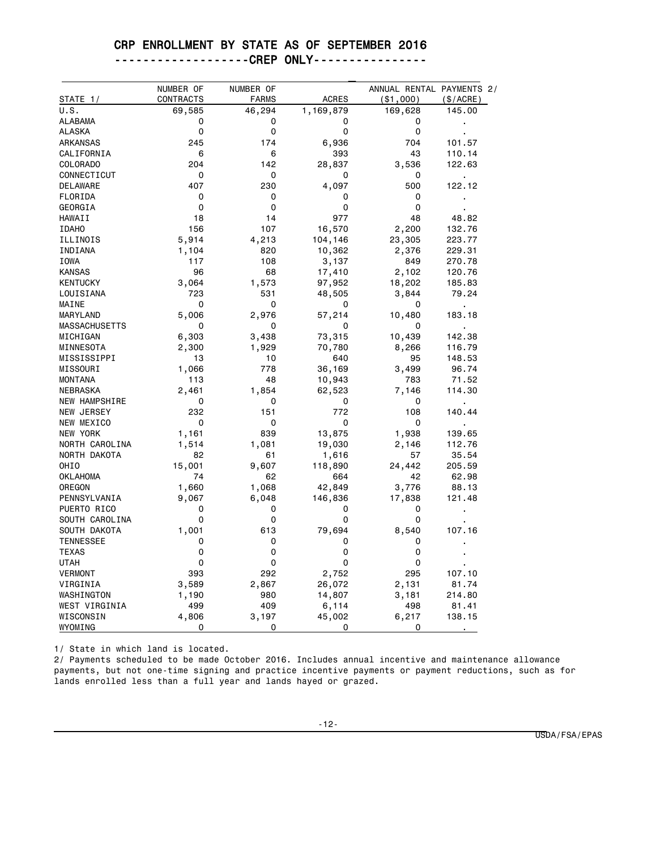#### CRP ENROLLMENT BY STATE AS OF SEPTEMBER 2016

| -------------------CREP ONLY---------------- |  |
|----------------------------------------------|--|
|----------------------------------------------|--|

|                      | NUMBER OF | NUMBER OF    |              | ANNUAL RENTAL PAYMENTS 2/ |                |
|----------------------|-----------|--------------|--------------|---------------------------|----------------|
| STATE 1/             | CONTRACTS | <b>FARMS</b> | <b>ACRES</b> | $($ \$1,000 $)$           | (\$/ACRE)      |
| U.S.                 | 69,585    | 46,294       | 1,169,879    | 169,628                   | 145.00         |
| ALABAMA              | 0         | 0            | 0            | 0                         |                |
| <b>ALASKA</b>        | 0         | 0            | 0            | 0                         |                |
| ARKANSAS             | 245       | 174          | 6,936        | 704                       | 101.57         |
| CALIFORNIA           | 6         | 6            | 393          | 43                        | 110.14         |
| COLORADO             | 204       | 142          | 28,837       | 3,536                     | 122.63         |
| CONNECTICUT          | 0         | 0            | 0            | 0                         |                |
| DELAWARE             | 407       | 230          | 4,097        | 500                       | 122.12         |
| FLORIDA              | 0         | 0            | 0            | 0                         |                |
| GEORGIA              | 0         | 0            | 0            | 0                         |                |
| HAWAII               | 18        | 14           | 977          | 48                        | 48.82          |
| <b>IDAHO</b>         | 156       | 107          | 16,570       | 2,200                     | 132.76         |
| ILLINOIS             | 5,914     | 4,213        | 104,146      | 23,305                    | 223.77         |
| INDIANA              | 1,104     | 820          | 10,362       | 2,376                     | 229.31         |
| IOWA                 | 117       | 108          | 3,137        | 849                       | 270.78         |
| <b>KANSAS</b>        | 96        | 68           | 17,410       | 2,102                     | 120.76         |
| <b>KENTUCKY</b>      | 3,064     | 1,573        | 97,952       | 18,202                    | 185.83         |
| LOUISIANA            | 723       | 531          | 48,505       | 3,844                     | 79.24          |
| MAINE                | 0         | 0            | 0            | 0                         | $\blacksquare$ |
| MARYLAND             | 5,006     | 2,976        | 57,214       | 10,480                    | 183.18         |
| <b>MASSACHUSETTS</b> | 0         | 0            | 0            | 0                         | $\blacksquare$ |
| MICHIGAN             | 6,303     | 3,438        | 73,315       | 10,439                    | 142.38         |
| MINNESOTA            | 2,300     | 1,929        | 70,780       | 8,266                     | 116.79         |
| MISSISSIPPI          | 13        | 10           | 640          | 95                        | 148.53         |
| MISSOURI             | 1,066     | 778          | 36,169       | 3,499                     | 96.74          |
| <b>MONTANA</b>       | 113       | 48           | 10,943       | 783                       | 71.52          |
| NEBRASKA             | 2,461     | 1,854        | 62,523       | 7,146                     | 114.30         |
| <b>NEW HAMPSHIRE</b> | 0         | 0            | 0            | 0                         |                |
| NEW JERSEY           | 232       | 151          | 772          | 108                       | 140.44         |
| NEW MEXICO           | 0         | 0            | 0            | 0                         |                |
| NEW YORK             | 1,161     | 839          | 13,875       | 1,938                     | 139.65         |
| NORTH CAROLINA       | 1,514     | 1,081        | 19,030       | 2,146                     | 112.76         |
| NORTH DAKOTA         | 82        | 61           | 1,616        | 57                        | 35.54          |
| OHIO                 | 15,001    | 9,607        | 118,890      | 24,442                    | 205.59         |
| <b>OKLAHOMA</b>      | 74        | 62           | 664          | 42                        | 62.98          |
| OREGON               | 1,660     | 1,068        | 42,849       | 3,776                     | 88.13          |
| PENNSYLVANIA         | 9,067     | 6,048        | 146,836      | 17,838                    | 121.48         |
| PUERTO RICO          | 0         | 0            | 0            | 0                         |                |
| SOUTH CAROLINA       | 0         | 0            | 0            | 0                         |                |
| SOUTH DAKOTA         | 1,001     | 613          | 79,694       | 8,540                     | 107.16         |
| <b>TENNESSEE</b>     | 0         | 0            | 0            | 0                         |                |
| <b>TEXAS</b>         | 0         | 0            | 0            | 0                         |                |
| UTAH                 | 0         | 0            | 0            | 0                         | ٠              |
| <b>VERMONT</b>       | 393       | 292          | 2,752        | 295                       | 107.10         |
| VIRGINIA             | 3,589     | 2,867        | 26,072       | 2,131                     | 81.74          |
| WASHINGTON           | 1,190     | 980          | 14,807       | 3,181                     | 214.80         |
| WEST VIRGINIA        | 499       | 409          | 6,114        | 498                       | 81.41          |
| WISCONSIN            | 4,806     | 3,197        | 45,002       | 6,217                     | 138.15         |
| WYOMING              | 0         | 0            | 0            | 0                         |                |

1/ State in which land is located.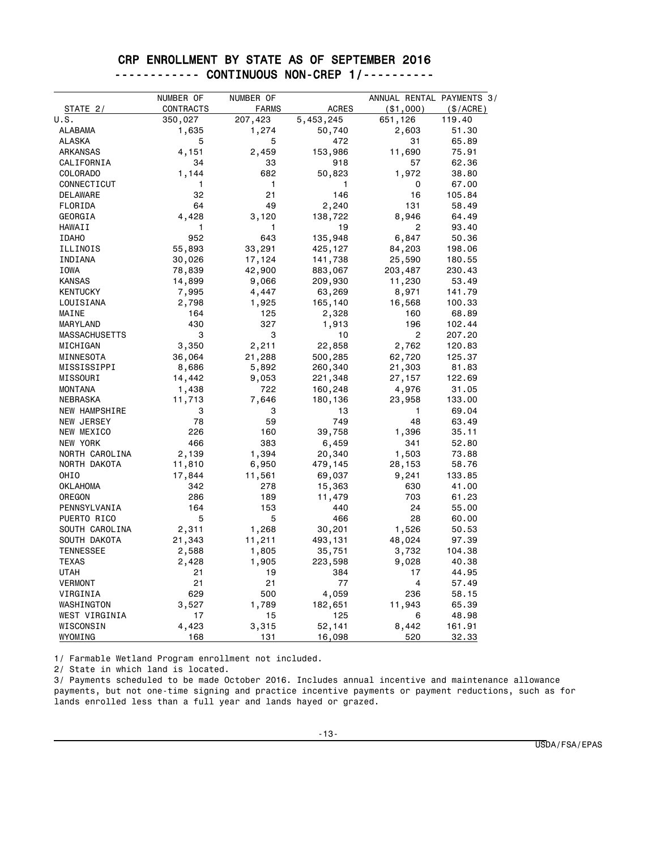#### CRP ENROLLMENT BY STATE AS OF SEPTEMBER 2016 ------------ CONTINUOUS NON-CREP 1/----------

|                      | NUMBER OF | NUMBER OF    |              | ANNUAL RENTAL PAYMENTS 3/ |             |
|----------------------|-----------|--------------|--------------|---------------------------|-------------|
| STATE 2/             | CONTRACTS | <b>FARMS</b> | <b>ACRES</b> | ( \$1,000)                | $(\$/ACRE)$ |
| U.S.                 | 350,027   | 207,423      | 5,453,245    | 651,126                   | 119.40      |
| ALABAMA              | 1,635     | 1,274        | 50,740       | 2,603                     | 51.30       |
| ALASKA               | 5         | 5            | 472          | 31                        | 65.89       |
| <b>ARKANSAS</b>      | 4,151     | 2,459        | 153,986      | 11,690                    | 75.91       |
| CALIFORNIA           | 34        | 33           | 918          | 57                        | 62.36       |
| COLORADO             | 1,144     | 682          | 50,823       | 1,972                     | 38.80       |
| CONNECTICUT          | 1         | 1            | 1            | 0                         | 67.00       |
| DELAWARE             | 32        | 21           | 146          | 16                        | 105.84      |
| FLORIDA              | 64        | 49           | 2,240        | 131                       | 58.49       |
| GEORGIA              | 4,428     | 3,120        | 138,722      | 8,946                     | 64.49       |
| HAWAII               | 1         | 1            | 19           | 2                         | 93.40       |
| <b>IDAHO</b>         | 952       | 643          | 135,948      | 6,847                     | 50.36       |
| ILLINOIS             | 55,893    | 33,291       | 425,127      | 84,203                    | 198.06      |
| INDIANA              | 30,026    | 17,124       | 141,738      | 25,590                    | 180.55      |
| <b>IOWA</b>          | 78,839    | 42,900       | 883,067      | 203,487                   | 230.43      |
| KANSAS               | 14,899    | 9,066        | 209,930      | 11,230                    | 53.49       |
| <b>KENTUCKY</b>      | 7,995     | 4,447        | 63,269       | 8,971                     | 141.79      |
| LOUISIANA            | 2,798     | 1,925        | 165,140      | 16,568                    | 100.33      |
| MAINE                | 164       | 125          | 2,328        | 160                       | 68.89       |
| MARYLAND             | 430       | 327          | 1,913        | 196                       | 102.44      |
| <b>MASSACHUSETTS</b> | 3         | 3            | 10           | $\overline{c}$            | 207.20      |
| MICHIGAN             | 3,350     | 2,211        | 22,858       | 2,762                     | 120.83      |
| MINNESOTA            | 36,064    | 21,288       | 500,285      | 62,720                    | 125.37      |
| MISSISSIPPI          | 8,686     | 5,892        | 260,340      | 21,303                    | 81.83       |
| MISSOURI             | 14,442    | 9,053        | 221,348      | 27,157                    | 122.69      |
| <b>MONTANA</b>       | 1,438     | 722          | 160,248      | 4,976                     | 31.05       |
| NEBRASKA             | 11,713    | 7,646        | 180,136      | 23,958                    | 133.00      |
| <b>NEW HAMPSHIRE</b> | 3         | 3            | 13           | $\mathbf{1}$              | 69.04       |
| NEW JERSEY           | 78        | 59           | 749          | 48                        | 63.49       |
| NEW MEXICO           | 226       | 160          | 39,758       | 1,396                     | 35.11       |
| NEW YORK             | 466       | 383          | 6,459        | 341                       | 52.80       |
| NORTH CAROLINA       | 2,139     | 1,394        | 20,340       | 1,503                     | 73.88       |
| NORTH DAKOTA         | 11,810    | 6,950        | 479,145      | 28,153                    | 58.76       |
| OHI <sub>0</sub>     | 17,844    | 11,561       | 69,037       | 9,241                     | 133.85      |
| OKLAHOMA             | 342       | 278          | 15,363       | 630                       | 41.00       |
| OREGON               | 286       | 189          | 11,479       | 703                       | 61.23       |
| PENNSYLVANIA         | 164       | 153          | 440          | 24                        | 55.00       |
| PUERTO RICO          | 5         | 5            | 466          | 28                        | 60.00       |
| SOUTH CAROLINA       | 2,311     | 1,268        | 30,201       | 1,526                     | 50.53       |
| SOUTH DAKOTA         | 21,343    | 11,211       | 493,131      | 48,024                    | 97.39       |
| <b>TENNESSEE</b>     | 2,588     | 1,805        | 35,751       | 3,732                     | 104.38      |
| <b>TEXAS</b>         | 2,428     | 1,905        | 223,598      | 9,028                     | 40.38       |
| UTAH                 | 21        | 19           | 384          | 17                        | 44.95       |
| <b>VERMONT</b>       | 21        | 21           | 77           | 4                         | 57.49       |
| VIRGINIA             | 629       | 500          | 4,059        | 236                       | 58.15       |
| WASHINGTON           | 3,527     | 1,789        | 182,651      | 11,943                    | 65.39       |
| WEST VIRGINIA        | 17        | 15           | 125          | 6                         | 48.98       |
| WISCONSIN            | 4,423     | 3,315        | 52,141       | 8,442                     | 161.91      |
| WYOMING              | 168       | 131          | 16,098       | 520                       | 32.33       |

1/ Farmable Wetland Program enrollment not included.

2/ State in which land is located.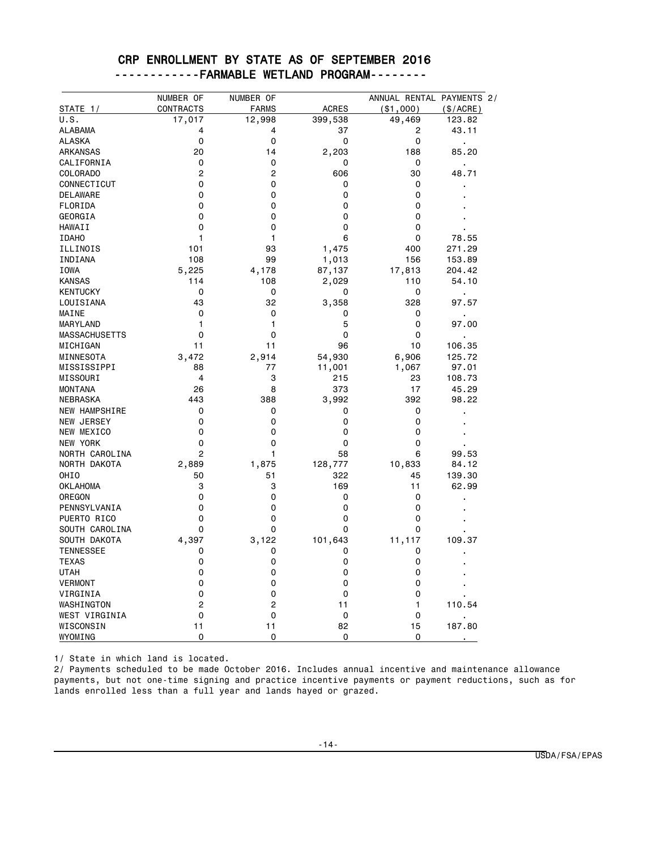|  |  | CRP ENROLLMENT BY STATE AS OF SEPTEMBER 2016 |  |
|--|--|----------------------------------------------|--|
|  |  | -----------FARMABLE WETLAND PROGRAM--------  |  |

|                      | NUMBER OF        | NUMBER OF    |              | ANNUAL RENTAL PAYMENTS 2/ |                |
|----------------------|------------------|--------------|--------------|---------------------------|----------------|
| STATE 1/             | <b>CONTRACTS</b> | <b>FARMS</b> | <b>ACRES</b> | ( \$1,000)                | (\$/ACRE)      |
| U.S.                 | 17,017           | 12,998       | 399,538      | 49,469                    | 123.82         |
| <b>ALABAMA</b>       | 4                | 4            | 37           | 2                         | 43.11          |
| <b>ALASKA</b>        | 0                | 0            | 0            | 0                         | $\blacksquare$ |
| <b>ARKANSAS</b>      | 20               | 14           | 2,203        | 188                       | 85.20          |
| CALIFORNIA           | 0                | 0            | 0            | 0                         |                |
| COLORADO             | $\overline{c}$   | 2            | 606          | 30                        | 48.71          |
| CONNECTICUT          | 0                | 0            | 0            | 0                         | ٠              |
| <b>DELAWARE</b>      | 0                | 0            | 0            | 0                         |                |
| FLORIDA              | 0                | 0            | 0            | 0                         |                |
| GEORGIA              | 0                | 0            | 0            | 0                         |                |
| HAWAII               | 0                | 0            | 0            | 0                         |                |
| <b>IDAHO</b>         | $\mathbf{1}$     | 1            | 6            | 0                         | 78.55          |
| ILLINOIS             | 101              | 93           | 1,475        | 400                       | 271.29         |
| INDIANA              | 108              | 99           | 1,013        | 156                       | 153.89         |
| IOWA                 | 5,225            | 4,178        | 87,137       | 17,813                    | 204.42         |
| <b>KANSAS</b>        | 114              | 108          | 2,029        | 110                       | 54.10          |
| <b>KENTUCKY</b>      | 0                | 0            | 0            | 0                         |                |
| LOUISIANA            | 43               | 32           | 3,358        | 328                       | 97.57          |
| MAINE                | 0                | 0            | 0            | 0                         |                |
| MARYLAND             | 1                | 1            | 5            | 0                         | 97.00          |
| <b>MASSACHUSETTS</b> | 0                | 0            | 0            | 0                         |                |
| MICHIGAN             | 11               | 11           | 96           | 10                        | 106.35         |
| MINNESOTA            | 3,472            | 2,914        | 54,930       | 6,906                     | 125.72         |
| MISSISSIPPI          | 88               | 77           | 11,001       | 1,067                     | 97.01          |
| MISSOURI             | $\overline{4}$   | 3            | 215          | 23                        | 108.73         |
| <b>MONTANA</b>       | 26               | 8            | 373          | 17                        | 45.29          |
| NEBRASKA             | 443              | 388          | 3,992        | 392                       | 98.22          |
| <b>NEW HAMPSHIRE</b> | 0                | 0            | 0            | 0                         |                |
| NEW JERSEY           | 0                | 0            | 0            | 0                         | j,             |
| NEW MEXICO           | 0                | 0            | 0            | 0                         |                |
| NEW YORK             | 0                | 0            | 0            | 0                         |                |
| NORTH CAROLINA       | $\overline{2}$   | 1            | 58           | 6                         | 99.53          |
| NORTH DAKOTA         | 2,889            | 1,875        | 128,777      | 10,833                    | 84.12          |
| OHI <sub>0</sub>     | 50               | 51           | 322          | 45                        | 139.30         |
| <b>OKLAHOMA</b>      | 3                | 3            | 169          | 11                        | 62.99          |
| OREGON               | 0                | 0            | 0            | 0                         |                |
| PENNSYLVANIA         | 0                | 0            | 0            | 0                         |                |
| PUERTO RICO          | 0                | 0            | 0            | 0                         |                |
| SOUTH CAROLINA       | 0                | 0            | 0            | 0                         |                |
| SOUTH DAKOTA         | 4,397            |              |              |                           | 109.37         |
| <b>TENNESSEE</b>     | 0                | 3,122<br>0   | 101,643<br>0 | 11,117<br>0               |                |
| <b>TEXAS</b>         | 0                | 0            | 0            | 0                         | ٠              |
| <b>UTAH</b>          | 0                | 0            | 0            | 0                         |                |
| <b>VERMONT</b>       | 0                | 0            | 0            | 0                         |                |
|                      |                  |              |              |                           |                |
| VIRGINIA             | 0                | 0            | 0            | 0                         |                |
| WASHINGTON           | 2                | 2            | 11           | 1                         | 110.54         |
| WEST VIRGINIA        | 0<br>11          | 0            | 0<br>82      | 0                         | 187.80         |
| WISCONSIN            | 0                | 11           |              | 15                        |                |
| WYOMING              |                  | 0            | 0            | 0                         |                |

1/ State in which land is located.

 $\overline{a}$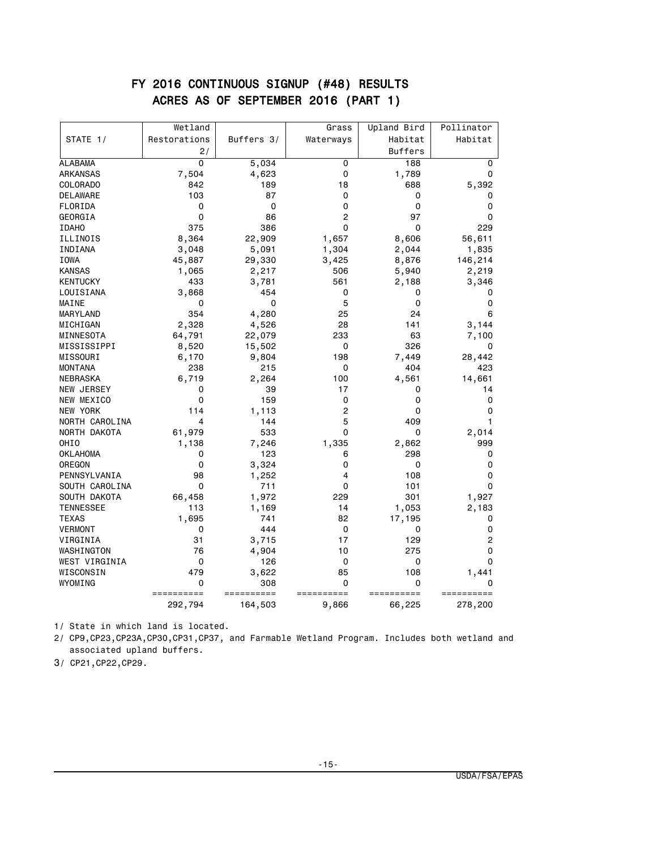### FY 2016 CONTINUOUS SIGNUP (#48) RESULTS ACRES AS OF SEPTEMBER 2016 (PART 1)

|                  | Wetland        |            | Grass     | Upland Bird    | Pollinator  |
|------------------|----------------|------------|-----------|----------------|-------------|
| STATE 1/         | Restorations   | Buffers 3/ | Waterways | Habitat        | Habitat     |
|                  | 2/             |            |           | <b>Buffers</b> |             |
| <b>ALABAMA</b>   | $\overline{0}$ | 5,034      | 0         | 188            | 0           |
| <b>ARKANSAS</b>  | 7,504          | 4,623      | 0         | 1,789          | 0           |
| COLORADO         | 842            | 189        | 18        | 688            | 5,392       |
| <b>DELAWARE</b>  | 103            | 87         | 0         | 0              | 0           |
| FLORIDA          | 0              | 0          | 0         | 0              | 0           |
| GEORGIA          | 0              | 86         | 2         | 97             | 0           |
| <b>IDAHO</b>     | 375            | 386        | 0         | 0              | 229         |
| ILLINOIS         | 8,364          | 22,909     | 1,657     | 8,606          | 56,611      |
| INDIANA          | 3,048          | 5,091      | 1,304     | 2,044          | 1,835       |
| IOWA             | 45,887         | 29,330     | 3,425     | 8,876          | 146,214     |
| <b>KANSAS</b>    | 1,065          | 2,217      | 506       | 5,940          | 2,219       |
| <b>KENTUCKY</b>  | 433            | 3,781      | 561       | 2,188          | 3,346       |
| LOUISIANA        | 3,868          | 454        | 0         | 0              | 0           |
| MAINE            | 0              | 0          | 5         | 0              | 0           |
| MARYLAND         | 354            | 4,280      | 25        | 24             | 6           |
| MICHIGAN         | 2,328          | 4,526      | 28        | 141            | 3,144       |
| MINNESOTA        | 64,791         | 22,079     | 233       | 63             | 7,100       |
| MISSISSIPPI      | 8,520          | 15,502     | 0         | 326            | 0           |
| MISSOURI         | 6,170          | 9,804      | 198       | 7,449          | 28,442      |
| <b>MONTANA</b>   | 238            | 215        | 0         | 404            | 423         |
| NEBRASKA         | 6,719          | 2,264      | 100       | 4,561          | 14,661      |
| NEW JERSEY       | 0              | 39         | 17        | 0              | 14          |
| NEW MEXICO       | 0              | 159        | 0         | 0              | 0           |
| NEW YORK         | 114            | 1,113      | 2         | 0              | 0           |
| NORTH CAROLINA   | 4              | 144        | 5         | 409            | 1           |
| NORTH DAKOTA     | 61,979         | 533        | 0         | 0              | 2,014       |
| OHI <sub>0</sub> | 1,138          | 7,246      | 1,335     | 2,862          | 999         |
| <b>OKLAHOMA</b>  | 0              | 123        | 6         | 298            | 0           |
| OREGON           | 0              | 3,324      | 0         | 0              | 0           |
| PENNSYLVANIA     | 98             | 1,252      | 4         | 108            | 0           |
| SOUTH CAROLINA   | 0              | 711        | 0         | 101            | $\mathbf 0$ |
| SOUTH DAKOTA     | 66,458         | 1,972      | 229       | 301            | 1,927       |
| <b>TENNESSEE</b> | 113            | 1,169      | 14        | 1,053          | 2,183       |
| <b>TEXAS</b>     | 1,695          | 741        | 82        | 17,195         | 0           |
| <b>VERMONT</b>   | 0              | 444        | 0         | 0              | 0           |
| VIRGINIA         | 31             | 3,715      | 17        | 129            | 2           |
| WASHINGTON       | 76             | 4,904      | 10        | 275            | 0           |
| WEST VIRGINIA    | 0              | 126        | 0         | 0              | $\Omega$    |
| WISCONSIN        | 479            | 3,622      | 85        | 108            | 1,441       |
| WYOMING          | 0              | 308        | 0         | 0              | 0           |
|                  | ========       | =======    | $=$ $=$   | .========      |             |
|                  | 292,794        | 164,503    | 9,866     | 66,225         | 278,200     |

1/ State in which land is located.

2/ CP9,CP23,CP23A,CP30,CP31,CP37, and Farmable Wetland Program. Includes both wetland and associated upland buffers.

3/ CP21,CP22,CP29.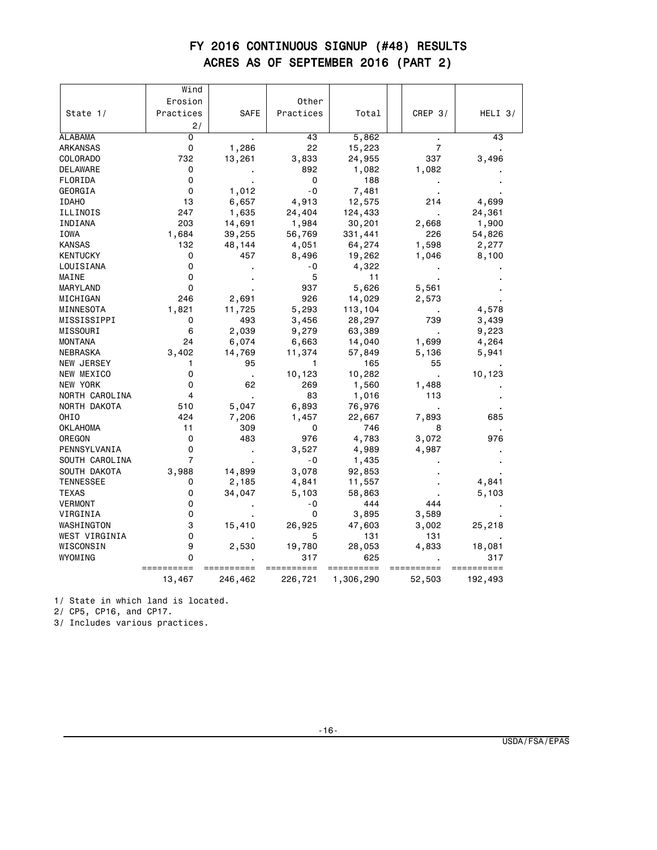# FY 2016 CONTINUOUS SIGNUP (#48) RESULTS ACRES AS OF SEPTEMBER 2016 (PART 2)

|                  | Wind                    |         |           |           |                |           |
|------------------|-------------------------|---------|-----------|-----------|----------------|-----------|
|                  | Erosion                 |         | Other     |           |                |           |
| State 1/         | Practices               | SAFE    | Practices | Total     | CREP $3/$      | $HELI$ 3/ |
|                  | 2/                      |         |           |           |                |           |
| <b>ALABAMA</b>   | $\overline{0}$          |         | 43        | 5,862     | $\bullet$      | 43        |
| ARKANSAS         | 0                       | 1,286   | 22        | 15,223    | $\overline{7}$ |           |
| COLORADO         | 732                     | 13,261  | 3,833     | 24,955    | 337            | 3,496     |
| DELAWARE         | 0                       |         | 892       | 1,082     | 1,082          |           |
| FLORIDA          | 0                       |         | 0         | 188       |                |           |
| GEORGIA          | 0                       | 1,012   | $-0$      | 7,481     |                |           |
| <b>IDAHO</b>     | 13                      | 6,657   | 4,913     | 12,575    | 214            | 4,699     |
| ILLINOIS         | 247                     | 1,635   | 24,404    | 124,433   |                | 24,361    |
| INDIANA          | 203                     | 14,691  | 1,984     | 30,201    | 2,668          | 1,900     |
| IOWA             | 1,684                   | 39,255  | 56,769    | 331,441   | 226            | 54,826    |
| <b>KANSAS</b>    | 132                     | 48,144  | 4,051     | 64,274    | 1,598          | 2,277     |
| <b>KENTUCKY</b>  | 0                       | 457     | 8,496     | 19,262    | 1,046          | 8,100     |
| LOUISIANA        | 0                       |         | - 0       | 4,322     |                |           |
| MAINE            | 0                       |         | 5         | 11        |                |           |
| MARYLAND         | 0                       |         | 937       | 5,626     | 5,561          |           |
| MICHIGAN         | 246                     | 2,691   | 926       | 14,029    | 2,573          |           |
| MINNESOTA        | 1,821                   | 11,725  | 5,293     | 113,104   |                | 4,578     |
| MISSISSIPPI      | 0                       | 493     | 3,456     | 28,297    | 739            | 3,439     |
| MISSOURI         | 6                       | 2,039   | 9,279     | 63,389    |                | 9,223     |
| <b>MONTANA</b>   | 24                      | 6,074   | 6,663     | 14,040    | 1,699          | 4,264     |
| NEBRASKA         | 3,402                   | 14,769  | 11,374    | 57,849    | 5,136          | 5,941     |
| NEW JERSEY       | 1                       | 95      | 1         | 165       | 55             |           |
| NEW MEXICO       | 0                       |         | 10,123    | 10,282    |                | 10,123    |
| NEW YORK         | 0                       | 62      | 269       | 1,560     | 1,488          |           |
| NORTH CAROLINA   | $\overline{\mathbf{4}}$ |         | 83        | 1,016     | 113            |           |
| NORTH DAKOTA     | 510                     | 5,047   | 6,893     | 76,976    |                |           |
| OHIO             | 424                     | 7,206   | 1,457     | 22,667    | 7,893          | 685       |
| <b>OKLAHOMA</b>  | 11                      | 309     | 0         | 746       | 8              |           |
| OREGON           | 0                       | 483     | 976       | 4,783     | 3,072          | 976       |
| PENNSYLVANIA     | 0                       |         | 3,527     | 4,989     | 4,987          |           |
| SOUTH CAROLINA   | $\overline{7}$          |         | - 0       | 1,435     |                |           |
| SOUTH DAKOTA     | 3,988                   | 14,899  | 3,078     | 92,853    |                |           |
| <b>TENNESSEE</b> | 0                       | 2,185   | 4,841     | 11,557    |                | 4,841     |
| <b>TEXAS</b>     | 0                       | 34,047  | 5,103     | 58,863    |                | 5,103     |
| <b>VERMONT</b>   | 0                       |         | $-0$      | 444       | 444            |           |
| VIRGINIA         | 0                       |         | 0         | 3,895     | 3,589          |           |
| WASHINGTON       | 3                       | 15,410  | 26,925    | 47,603    | 3,002          | 25,218    |
| WEST VIRGINIA    | 0                       |         | 5         | 131       | 131            |           |
| WISCONSIN        | 9                       | 2,530   | 19,780    | 28,053    | 4,833          | 18,081    |
| WYOMING          | 0                       |         | 317       | 625       |                | 317       |
|                  | 13,467                  | 246,462 | 226,721   | 1,306,290 | 52,503         | 192,493   |

1/ State in which land is located.

2/ CP5, CP16, and CP17.

3/ Includes various practices.

-16-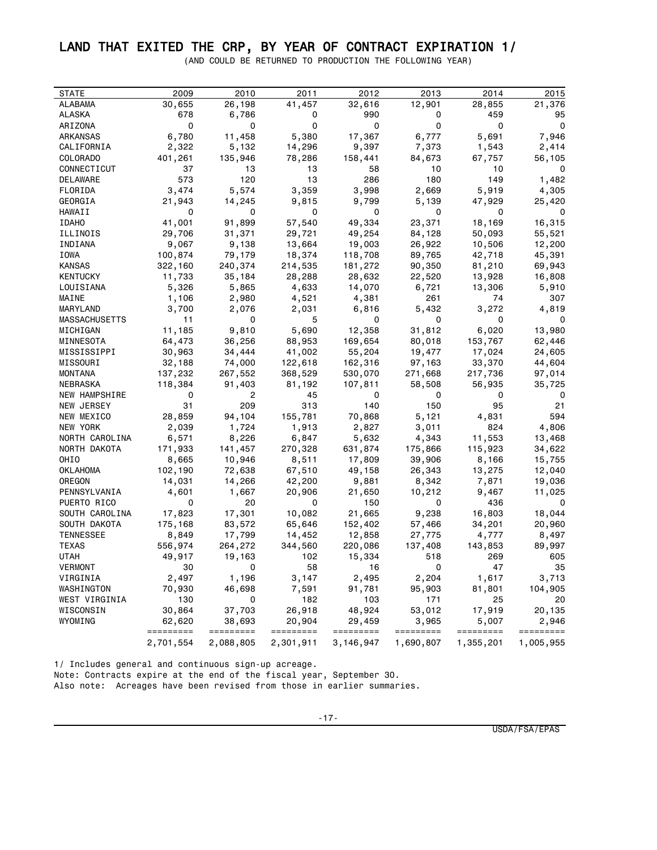### LAND THAT EXITED THE CRP, BY YEAR OF CONTRACT EXPIRATION 1/

(AND COULD BE RETURNED TO PRODUCTION THE FOLLOWING YEAR)

| <b>STATE</b>         | 2009                | 2010                | 2011                | 2012                | 2013               | 2014               | 2015               |
|----------------------|---------------------|---------------------|---------------------|---------------------|--------------------|--------------------|--------------------|
| ALABAMA              | 30,655              | 26,198              | 41,457              | 32,616              | 12,901             | 28,855             | 21,376             |
| ALASKA               | 678                 | 6,786               | 0                   | 990                 | 0                  | 459                | 95                 |
| ARIZONA              | 0                   | 0                   | 0                   | 0                   | 0                  | 0                  | $\mathbf 0$        |
| ARKANSAS             | 6,780               | 11,458              | 5,380               | 17,367              | 6,777              | 5,691              | 7,946              |
| CALIFORNIA           | 2,322               | 5,132               | 14,296              | 9,397               | 7,373              | 1,543              | 2,414              |
| COLORADO             | 401,261             | 135,946             | 78,286              | 158,441             | 84,673             | 67,757             | 56,105             |
| CONNECTICUT          | 37                  | 13                  | 13                  | 58                  | 10                 | 10                 | 0                  |
| DELAWARE             | 573                 | 120                 | 13                  | 286                 | 180                | 149                | 1,482              |
| FLORIDA              | 3,474               | 5,574               | 3,359               | 3,998               | 2,669              | 5,919              | 4,305              |
| GEORGIA              | 21,943              | 14,245              | 9,815               | 9,799               | 5,139              | 47,929             | 25,420             |
| HAWAII               | 0                   | 0                   | 0                   | 0                   | 0                  | 0                  | 0                  |
| <b>IDAHO</b>         | 41,001              | 91,899              | 57,540              | 49,334              | 23,371             | 18,169             | 16,315             |
| ILLINOIS             | 29,706              | 31,371              | 29,721              | 49,254              | 84,128             | 50,093             | 55,521             |
| INDIANA              | 9,067               | 9,138               | 13,664              | 19,003              | 26,922             | 10,506             | 12,200             |
| IOWA                 | 100,874             | 79,179              | 18,374              | 118,708             | 89,765             | 42,718             | 45,391             |
| KANSAS               | 322,160             | 240,374             | 214,535             | 181,272             | 90,350             | 81,210             | 69,943             |
| KENTUCKY             | 11,733              | 35,184              | 28,288              | 28,632              | 22,520             | 13,928             | 16,808             |
| LOUISIANA            | 5,326               | 5,865               | 4,633               | 14,070              | 6,721              | 13,306             | 5,910              |
| MAINE                | 1,106               | 2,980               | 4,521               | 4,381               | 261                | 74                 | 307                |
| MARYLAND             | 3,700               | 2,076               | 2,031               | 6,816               | 5,432              | 3,272              | 4,819              |
| MASSACHUSETTS        | 11                  | 0                   | 5                   | 0                   | 0                  | 0                  | 0                  |
| MICHIGAN             | 11,185              | 9,810               | 5,690               | 12,358              | 31,812             | 6,020              | 13,980             |
| MINNESOTA            | 64,473              | 36,256              | 88,953              | 169,654             | 80,018             | 153,767            | 62,446             |
| MISSISSIPPI          | 30,963              | 34,444              | 41,002              | 55,204              | 19,477             | 17,024             | 24,605             |
| MISSOURI             | 32,188              | 74,000              | 122,618             | 162,316             | 97,163             | 33,370             | 44,604             |
| <b>MONTANA</b>       | 137,232             | 267,552             | 368,529             | 530,070             | 271,668            | 217,736            | 97,014             |
| NEBRASKA             | 118,384             | 91,403              | 81,192              | 107,811             | 58,508             | 56,935             | 35,725             |
| <b>NEW HAMPSHIRE</b> | 0                   | 2                   | 45                  | 0                   | 0                  | 0                  | 0                  |
| NEW JERSEY           | 31                  | 209                 | 313                 | 140                 | 150                | 95                 | 21                 |
| NEW MEXICO           | 28,859              | 94,104              | 155,781             | 70,868              | 5,121              | 4,831              | 594                |
| NEW YORK             | 2,039               | 1,724               | 1,913               | 2,827               | 3,011              | 824                | 4,806              |
| NORTH CAROLINA       | 6,571               | 8,226               | 6,847               | 5,632               | 4,343              | 11,553             | 13,468             |
| NORTH DAKOTA         | 171,933             | 141,457             | 270,328             | 631,874             | 175,866            | 115,923            | 34,622             |
| OHIO                 | 8,665               | 10,946              | 8,511               | 17,809              | 39,906             | 8,166              | 15,755             |
| OKLAHOMA             | 102,190             | 72,638              | 67,510              | 49,158              | 26,343             | 13,275             | 12,040             |
| OREGON               | 14,031              | 14,266              | 42,200              | 9,881               | 8,342              | 7,871              | 19,036             |
| PENNSYLVANIA         | 4,601               | 1,667               | 20,906              | 21,650              | 10,212             | 9,467              | 11,025             |
| PUERTO RICO          | 0                   | 20                  | 0                   | 150                 | 0                  | 436                | 0                  |
| SOUTH CAROLINA       | 17,823              | 17,301              | 10,082              | 21,665              | 9,238              | 16,803             | 18,044             |
| SOUTH DAKOTA         | 175,168             | 83,572              | 65,646              | 152,402             | 57,466             | 34,201             | 20,960             |
| TENNESSEE            | 8,849               | 17,799              | 14,452              | 12,858              | 27,775             | 4,777              | 8,497              |
| TEXAS                | 556,974             | 264,272             | 344,560             | 220,086             | 137,408            | 143,853            | 89,997             |
| UTAH                 | 49,917              | 19,163              | 102                 | 15,334              | 518                | 269                | 605                |
| VERMONT              | 30                  | 0                   | 58                  | 16                  | 0                  | 47                 | 35                 |
| VIRGINIA             | 2,497               | 1,196               | 3,147               | 2,495               | 2,204              | 1,617              | 3,713              |
| WASHINGTON           | 70,930              | 46,698              | 7,591               | 91,781              | 95,903             | 81,801             | 104,905            |
| WEST VIRGINIA        | 130                 | 0                   | 182                 | 103                 | 171                | 25                 | 20                 |
| WISCONSIN            | 30,864              | 37,703              | 26,918              | 48,924              | 53,012             | 17,919             | 20,135             |
| WYOMING              | 62,620<br>========= | 38,693<br>========= | 20,904<br>========= | 29,459<br>========= | 3,965<br>========= | 5,007<br>========= | 2,946<br>========= |
|                      | 2,701,554           | 2,088,805           | 2,301,911           | 3,146,947           | 1,690,807          | 1,355,201          | 1,005,955          |

1/ Includes general and continuous sign-up acreage. Note: Contracts expire at the end of the fiscal year, September 30. Also note: Acreages have been revised from those in earlier summaries.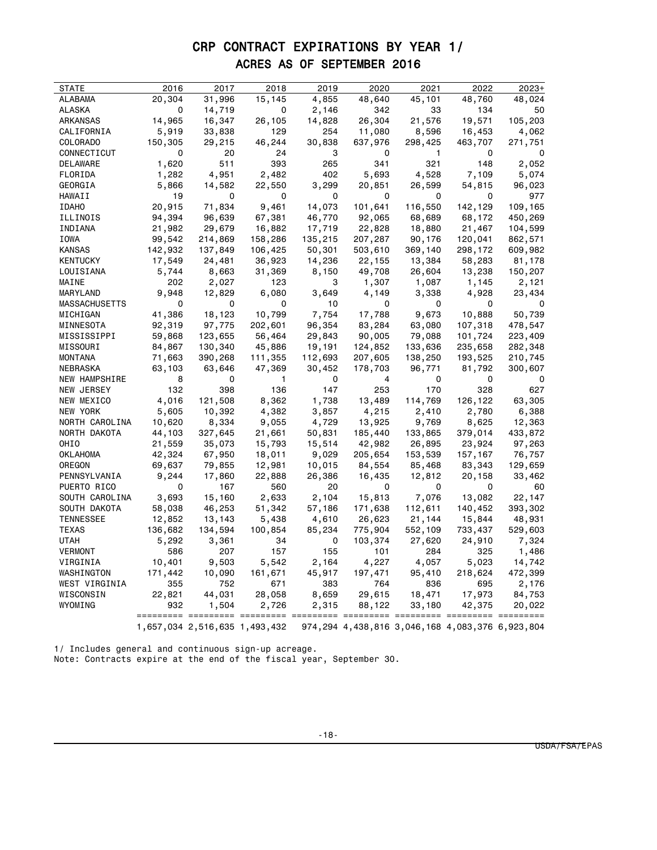# CRP CONTRACT EXPIRATIONS BY YEAR 1/ ACRES AS OF SEPTEMBER 2016

| <b>STATE</b>         | 2016    | 2017                                                         | 2018         | 2019    | 2020    | 2021         | 2022                                                     | $2023+$           |
|----------------------|---------|--------------------------------------------------------------|--------------|---------|---------|--------------|----------------------------------------------------------|-------------------|
| ALABAMA              | 20,304  | 31,996                                                       | 15,145       | 4,855   | 48,640  | 45,101       | 48,760                                                   | 48,024            |
| <b>ALASKA</b>        | 0       | 14,719                                                       | 0            | 2,146   | 342     | 33           | 134                                                      | 50                |
| ARKANSAS             | 14,965  | 16,347                                                       | 26,105       | 14,828  | 26,304  | 21,576       | 19,571                                                   | 105,203           |
| CALIFORNIA           | 5,919   | 33,838                                                       | 129          | 254     | 11,080  | 8,596        | 16,453                                                   | 4,062             |
| COLORADO             | 150,305 | 29,215                                                       | 46,244       | 30,838  | 637,976 | 298,425      | 463,707                                                  | 271,751           |
| CONNECTICUT          | 0       | 20                                                           | 24           | 3       | 0       | $\mathbf{1}$ | 0                                                        | 0                 |
| DELAWARE             | 1,620   | 511                                                          | 393          | 265     | 341     | 321          | 148                                                      | 2,052             |
| FLORIDA              | 1,282   | 4,951                                                        | 2,482        | 402     | 5,693   | 4,528        | 7,109                                                    | 5,074             |
| GEORGIA              | 5,866   | 14,582                                                       | 22,550       | 3,299   | 20,851  | 26,599       | 54,815                                                   | 96,023            |
| HAWAII               | 19      | 0                                                            | 0            | 0       | 0       | 0            | 0                                                        | 977               |
| <b>IDAHO</b>         | 20,915  | 71,834                                                       | 9,461        | 14,073  | 101,641 | 116,550      | 142,129                                                  | 109,165           |
| ILLINOIS             | 94,394  | 96,639                                                       | 67,381       | 46,770  | 92,065  | 68,689       | 68,172                                                   | 450,269           |
| INDIANA              | 21,982  | 29,679                                                       | 16,882       | 17,719  | 22,828  | 18,880       | 21,467                                                   | 104,599           |
| IOWA                 | 99,542  | 214,869                                                      | 158,286      | 135,215 | 207,287 | 90,176       | 120,041                                                  | 862,571           |
| KANSAS               | 142,932 | 137,849                                                      | 106,425      | 50,301  | 503,610 | 369,140      | 298,172                                                  | 609,982           |
| KENTUCKY             | 17,549  | 24,481                                                       | 36,923       | 14,236  | 22,155  | 13,384       | 58,283                                                   | 81,178            |
| LOUISIANA            | 5,744   | 8,663                                                        | 31,369       | 8,150   | 49,708  | 26,604       | 13,238                                                   | 150,207           |
| MAINE                | 202     | 2,027                                                        | 123          | 3       | 1,307   | 1,087        | 1,145                                                    | 2,121             |
| MARYLAND             | 9,948   | 12,829                                                       | 6,080        | 3,649   | 4,149   | 3,338        | 4,928                                                    | 23,434            |
| <b>MASSACHUSETTS</b> | 0       | 0                                                            | 0            | 10      | 0       | 0            | 0                                                        | $\mathbf 0$       |
| MICHIGAN             | 41,386  | 18,123                                                       | 10,799       | 7,754   | 17,788  | 9,673        | 10,888                                                   | 50,739            |
| MINNESOTA            | 92,319  | 97,775                                                       | 202,601      | 96,354  | 83,284  | 63,080       | 107,318                                                  | 478,547           |
| MISSISSIPPI          | 59,868  | 123,655                                                      | 56,464       | 29,843  | 90,005  | 79,088       | 101,724                                                  | 223,409           |
| MISSOURI             | 84,867  | 130,340                                                      | 45,886       | 19,191  | 124,852 | 133,636      | 235,658                                                  | 282,348           |
| MONTANA              | 71,663  | 390,268                                                      | 111,355      | 112,693 | 207,605 | 138,250      | 193,525                                                  | 210,745           |
| NEBRASKA             | 63,103  | 63,646                                                       | 47,369       | 30,452  | 178,703 | 96,771       | 81,792                                                   | 300,607           |
| NEW HAMPSHIRE        | 8       | 0                                                            | $\mathbf{1}$ | 0       | 4       | 0            | 0                                                        | 0                 |
| NEW JERSEY           | 132     | 398                                                          | 136          | 147     | 253     | 170          | 328                                                      | 627               |
| NEW MEXICO           | 4,016   | 121,508                                                      | 8,362        | 1,738   | 13,489  | 114,769      | 126,122                                                  | 63,305            |
| NEW YORK             | 5,605   | 10,392                                                       | 4,382        |         | 4,215   | 2,410        | 2,780                                                    | 6,388             |
|                      |         |                                                              |              | 3,857   |         |              |                                                          |                   |
| NORTH CAROLINA       | 10,620  | 8,334                                                        | 9,055        | 4,729   | 13,925  | 9,769        | 8,625                                                    | 12,363<br>433,872 |
| NORTH DAKOTA         | 44,103  | 327,645                                                      | 21,661       | 50,831  | 185,440 | 133,865      | 379,014                                                  |                   |
| OHIO                 | 21,559  | 35,073                                                       | 15,793       | 15,514  | 42,982  | 26,895       | 23,924                                                   | 97,263            |
| OKLAHOMA             | 42,324  | 67,950                                                       | 18,011       | 9,029   | 205,654 | 153,539      | 157,167                                                  | 76,757            |
| OREGON               | 69,637  | 79,855                                                       | 12,981       | 10,015  | 84,554  | 85,468       | 83,343                                                   | 129,659           |
| PENNSYLVANIA         | 9,244   | 17,860                                                       | 22,888       | 26,386  | 16,435  | 12,812       | 20,158                                                   | 33,462            |
| PUERTO RICO          | 0       | 167                                                          | 560          | 20      | 0       | 0            | 0                                                        | 60                |
| SOUTH CAROLINA       | 3,693   | 15,160                                                       | 2,633        | 2,104   | 15,813  | 7,076        | 13,082                                                   | 22,147            |
| SOUTH DAKOTA         | 58,038  | 46,253                                                       | 51,342       | 57,186  | 171,638 | 112,611      | 140,452                                                  | 393,302           |
| <b>TENNESSEE</b>     | 12,852  | 13,143                                                       | 5,438        | 4,610   | 26,623  | 21,144       | 15,844                                                   | 48,931            |
| <b>TEXAS</b>         | 136,682 | 134,594                                                      | 100,854      | 85,234  | 775,904 | 552,109      | 733,437                                                  | 529,603           |
| <b>UTAH</b>          | 5,292   | 3,361                                                        | 34           | 0       | 103,374 | 27,620       | 24,910                                                   | 7,324             |
| <b>VERMONT</b>       | 586     | 207                                                          | 157          | 155     | 101     | 284          | 325                                                      | 1,486             |
| VIRGINIA             | 10,401  | 9,503                                                        | 5,542        | 2,164   | 4,227   | 4,057        | 5,023                                                    | 14,742            |
| WASHINGTON           | 171,442 | 10,090                                                       | 161,671      | 45,917  | 197,471 | 95,410       | 218,624                                                  | 472,399           |
| WEST VIRGINIA        | 355     | 752                                                          | 671          | 383     | 764     | 836          | 695                                                      | 2,176             |
| WISCONSIN            | 22,821  | 44,031                                                       | 28,058       | 8,659   | 29,615  | 18,471       | 17,973                                                   | 84,753            |
| WYOMING              | 932     | 1,504                                                        | 2,726        | 2,315   | 88,122  | 33,180       | 42,375                                                   | 20,022            |
|                      |         | ========= ========= =======<br>1,657,034 2,516,635 1,493,432 |              |         |         |              | 974, 294 4, 438, 816 3, 046, 168 4, 083, 376 6, 923, 804 |                   |
|                      |         |                                                              |              |         |         |              |                                                          |                   |

1/ Includes general and continuous sign-up acreage. Note: Contracts expire at the end of the fiscal year, September 30.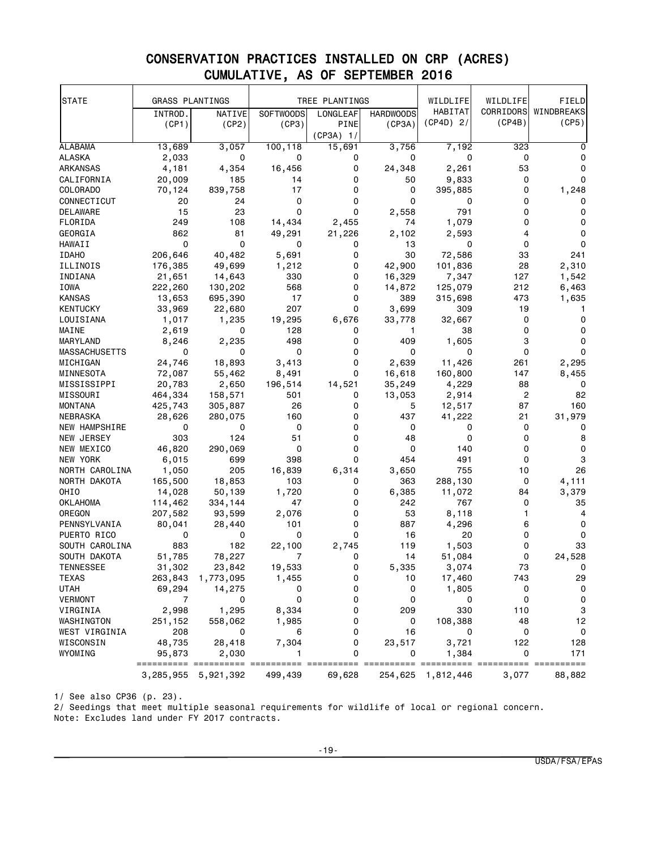# CONSERVATION PRACTICES INSTALLED ON CRP (ACRES) CUMULATIVE, AS OF SEPTEMBER 2016

| <b>STATE</b>         | <b>GRASS PLANTINGS</b> |                     |                  | TREE PLANTINGS |                  | WILDLIFE          | WILDLIFE       | FIELD       |
|----------------------|------------------------|---------------------|------------------|----------------|------------------|-------------------|----------------|-------------|
|                      | INTROD.                | NATIVE              | <b>SOFTWOODS</b> | LONGLEAF       | <b>HARDWOODS</b> | HABITAT           | CORRIDORS      | WINDBREAKS  |
|                      | (CP1)                  | (CP2)               | (CP3)            | PINE           | (CP3A)           | $(CP4D)$ 2/       | (CP4B)         | (CP5)       |
|                      |                        |                     |                  | $(CP3A)$ 1/    |                  |                   |                |             |
| <b>ALABAMA</b>       | 13,689                 | 3,057               | 100,118          | 15,691         | 3,756            | 7,192             | 323            | 0           |
| ALASKA               | 2,033                  | 0                   | 0                | 0              | 0                | 0                 | 0              | 0           |
| ARKANSAS             | 4,181                  | 4,354               | 16,456           | 0              | 24,348           | 2,261             | 53             | 0           |
| CALIFORNIA           | 20,009                 | 185                 | 14               | 0              | 50               | 9,833             | 0              | 0           |
| COLORADO             | 70,124                 | 839,758             | 17               | 0              | 0                | 395,885           | 0              | 1,248       |
| CONNECTICUT          | 20                     | 24                  | 0                | 0              | 0                | 0                 | 0              | 0           |
| DELAWARE             | 15                     | 23                  | 0                | 0              | 2,558            | 791               | 0              | 0           |
| FLORIDA              | 249                    | 108                 | 14,434           | 2,455          | 74               | 1,079             | 0              | 0           |
| GEORGIA              | 862                    | 81                  | 49,291           | 21,226         | 2,102            | 2,593             | 4              | 0           |
| HAWAII               | 0                      | 0                   | 0                | 0              | 13               | 0                 | $\mathbf 0$    | 0           |
| <b>IDAHO</b>         | 206,646                | 40,482              | 5,691            | 0              | 30               | 72,586            | 33             | 241         |
| ILLINOIS             | 176,385                | 49,699              | 1,212            | 0              | 42,900           | 101,836           | 28             | 2,310       |
| INDIANA              | 21,651                 | 14,643              | 330              | 0              | 16,329           | 7,347             | 127            | 1,542       |
| IOWA                 | 222,260                | 130,202             | 568              | 0              | 14,872           | 125,079           | 212            | 6,463       |
| KANSAS               | 13,653                 | 695,390             | 17               | 0              | 389              | 315,698           | 473            | 1,635       |
| KENTUCKY             | 33,969                 | 22,680              | 207              | 0              | 3,699            | 309               | 19             | 1           |
| LOUISIANA            | 1,017                  | 1,235               | 19,295           | 6,676          | 33,778           | 32,667            | 0              | 0           |
| MAINE                | 2,619                  | 0                   | 128              | 0              | 1                | 38                | 0              | 0           |
| MARYLAND             | 8,246                  | 2,235               | 498              | 0              | 409              | 1,605             | 3              | 0           |
| <b>MASSACHUSETTS</b> | 0                      | 0                   | 0                | 0              | 0                | 0                 | 0              | 0           |
| MICHIGAN             | 24,746                 | 18,893              | 3,413            | 0              | 2,639            | 11,426            | 261            | 2,295       |
| MINNESOTA            | 72,087                 | 55,462              | 8,491            | 0              | 16,618           | 160,800           | 147            | 8,455       |
| MISSISSIPPI          | 20,783                 | 2,650               | 196,514          | 14,521         | 35,249           | 4,229             | 88             | 0           |
| MISSOURI             | 464,334                | 158,571             | 501              | 0              | 13,053           | 2,914             | $\overline{c}$ | 82          |
| MONTANA              | 425,743                | 305,887             | 26               | 0              | 5                | 12,517            | 87             | 160         |
| NEBRASKA             | 28,626                 | 280,075             | 160              | 0              | 437              | 41,222            | 21             | 31,979      |
| NEW HAMPSHIRE        | 0                      | 0                   | 0                | 0              | 0                | 0                 | 0              | 0           |
| NEW JERSEY           | 303                    | 124                 | 51               | 0              | 48               | 0                 | 0              | 8           |
| NEW MEXICO           | 46,820                 | 290,069             | 0                | 0              | 0                | 140               | 0              | 0           |
| NEW YORK             | 6,015                  | 699                 | 398              | 0              | 454              | 491               | 0              | 3           |
| NORTH CAROLINA       | 1,050                  | 205                 | 16,839           | 6,314          | 3,650            | 755               | 10             | 26          |
| NORTH DAKOTA         | 165,500                | 18,853              | 103              | 0              | 363              | 288,130           | 0              | 4,111       |
| OHIO                 | 14,028                 | 50,139              | 1,720            | 0              | 6,385            | 11,072            | 84             | 3,379       |
| <b>OKLAHOMA</b>      | 114,462                | 334,144             | 47               | 0              | 242              | 767               | 0              | 35          |
| <b>OREGON</b>        | 207,582                | 93,599              | 2,076            | 0              | 53               | 8,118             | 1              | 4           |
| PENNSYLVANIA         | 80,041                 | 28,440              | 101              | 0              | 887              | 4,296             | 6              | 0           |
| PUERTO RICO          | 0                      | 0                   | 0                | 0              | 16               | 20                | 0              | 0           |
| SOUTH CAROLINA       | 883                    | 182                 | 22,100           | 2,745          | 119              | 1,503             | 0              | 33          |
| SOUTH DAKOTA         | 51,785                 | 78,227              | 7                | 0              | 14               | 51,084            | 0              | 24,528      |
| TENNESSEE            | 31,302                 | 23,842              | 19,533           | 0              | 5,335            | 3,074             | 73             | 0           |
| TEXAS                | 263,843                | 1,773,095           | 1,455            | 0              | 10               | 17,460            | 743            | 29          |
| <b>UTAH</b>          | 69,294                 | 14,275              | 0                | 0              | 0                | 1,805             | 0              | 0           |
| <b>VERMONT</b>       | 7                      | 0                   | 0                | 0              | 0                | 0                 | 0              | $\mathbf 0$ |
| VIRGINIA             | 2,998                  | 1,295               | 8,334            | 0              | 209              | 330               | 110            | 3           |
| WASHINGTON           | 251,152                | 558,062             | 1,985            | 0              | 0                | 108,388           | 48             | 12          |
| WEST VIRGINIA        | 208                    | 0                   | 6                | 0              | 16               | 0                 | 0              | $\mathbf 0$ |
| WISCONSIN            | 48,735                 | 28,418              | 7,304            | 0              | 23,517           | 3,721             | 122            | 128         |
| WYOMING              | 95,873                 | 2,030               |                  | 0              | 0                | 1,384             | 0              | 171         |
|                      | =======                |                     |                  |                |                  |                   |                | ===         |
|                      |                        | 3,285,955 5,921,392 | 499,439          | 69,628         |                  | 254,625 1,812,446 | 3,077          | 88,882      |

1/ See also CP36 (p. 23).

2/ Seedings that meet multiple seasonal requirements for wildlife of local or regional concern. Note: Excludes land under FY 2017 contracts.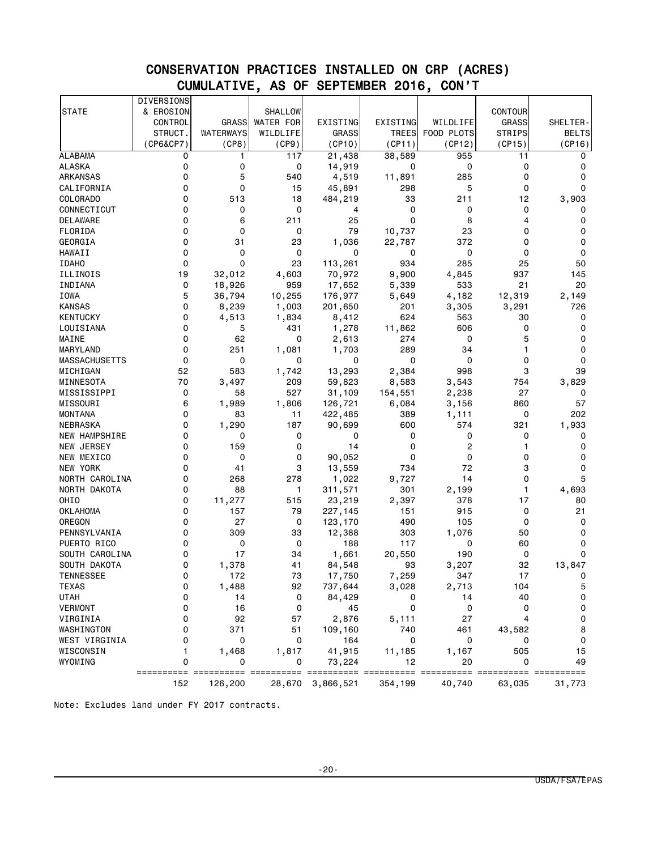# CONSERVATION PRACTICES INSTALLED ON CRP (ACRES) CUMULATIVE, AS OF SEPTEMBER 2016, CON'T

|                                  | <b>DIVERSIONS</b> |              |                  |               |             |                   |               |            |
|----------------------------------|-------------------|--------------|------------------|---------------|-------------|-------------------|---------------|------------|
| <b>STATE</b>                     | & EROSION         |              | <b>SHALLOW</b>   |               |             |                   | CONTOUR       |            |
|                                  | CONTROL           | <b>GRASS</b> | <b>WATER FOR</b> | EXISTING      | EXISTING    | WILDLIFE          | <b>GRASS</b>  | SHELTER-   |
|                                  | STRUCT.           | WATERWAYS    | WILDLIFE         | <b>GRASS</b>  | TREES       | FOOD PLOTS        | <b>STRIPS</b> | BELTS      |
|                                  | (CP6&CP7)         | (CP8)        | (CP9)            | (CP10)        | (CP11)      | (CP12)            | (CP15)        | (CP16)     |
| <b>ALABAMA</b>                   | 0                 | 1            | 117              | 21,438        | 38,589      | 955               | 11            | 0          |
| <b>ALASKA</b>                    | 0                 | 0            | 0                | 14,919        | 0           | 0                 | 0             | 0          |
| ARKANSAS                         | 0                 | 5            | 540              | 4,519         | 11,891      | 285               | 0             | 0          |
| CALIFORNIA                       | 0                 | 0            | 15               | 45,891        | 298         | 5                 | 0             | $\Omega$   |
| COLORADO                         | 0                 | 513          | 18               | 484,219       | 33          | 211               | 12            | 3,903      |
| CONNECTICUT                      | 0                 | 0            | 0                | 4             | 0           | 0                 | 0             | 0          |
| DELAWARE                         | 0                 | 6            | 211              | 25            | 0           | 8                 | 4             | 0          |
| FLORIDA                          | 0                 | 0            | 0                | 79            | 10,737      | 23                | 0             | 0          |
| GEORGIA                          | 0                 | 31           | 23               | 1,036         | 22,787      | 372               | 0             | 0          |
| HAWAII                           | 0                 | 0            | 0                | 0             | 0           | 0                 | 0             | 0          |
| <b>IDAHO</b>                     | 0                 | $\Omega$     | 23               | 113,261       | 934         | 285               | 25            | 50         |
| ILLINOIS                         | 19                | 32,012       | 4,603            | 70,972        | 9,900       | 4,845             | 937           | 145        |
| INDIANA                          | 0                 | 18,926       | 959              | 17,652        | 5,339       | 533               | 21            | 20         |
| IOWA                             | 5                 | 36,794       | 10,255           | 176,977       | 5,649       | 4,182             | 12,319        | 2,149      |
| KANSAS                           | 0                 | 8,239        | 1,003            | 201,650       | 201         | 3,305             | 3,291         | 726        |
| <b>KENTUCKY</b>                  | 0                 | 4,513        | 1,834            | 8,412         | 624         | 563               | 30            | 0          |
| LOUISIANA                        | 0                 | 5            | 431              | 1,278         | 11,862      | 606               | 0             | 0          |
| MAINE                            | 0                 | 62           | 0                | 2,613         | 274         | 0                 | 5             | 0          |
| MARYLAND                         | 0                 | 251          | 1,081            | 1,703         | 289         | 34                | 1             | 0          |
| <b>MASSACHUSETTS</b>             | 0                 | 0            | 0                | 0             | 0           | 0                 | 0             | 0          |
| MICHIGAN                         | 52                | 583          | 1,742            | 13,293        | 2,384       | 998               | 3             | 39         |
| MINNESOTA                        | 70                | 3,497        | 209              | 59,823        | 8,583       | 3,543             | 754           | 3,829      |
| MISSISSIPPI                      | 0                 | 58           | 527              | 31,109        | 154,551     | 2,238             | 27            | 0          |
| MISSOURI                         | 6                 | 1,989        | 1,806            | 126,721       | 6,084       | 3,156             | 860           | 57         |
| <b>MONTANA</b>                   | 0                 | 83           | 11               | 422,485       | 389         | 1,111             | 0             | 202        |
| NEBRASKA                         | 0                 | 1,290        | 187              | 90,699        | 600         | 574               | 321           | 1,933      |
| NEW HAMPSHIRE                    | 0                 | 0            | 0                | 0             | 0           | 0                 | 0             | 0          |
| NEW JERSEY                       | 0                 | 159          | 0                | 14            | 0           | 2                 | 1             | 0          |
| NEW MEXICO                       | 0                 | 0            | 0                | 90,052        | 0           | 0                 | 0             | 0          |
| NEW YORK                         | 0                 | 41           | 3                | 13,559        | 734         | 72                | 3             | 0          |
| NORTH CAROLINA                   | 0                 | 268          | 278              | 1,022         | 9,727       | 14                | 0             | 5          |
| NORTH DAKOTA                     | 0                 | 88           | $\mathbf{1}$     | 311,571       | 301         | 2,199             | 1             | 4,693      |
| OHIO                             | 0                 | 11,277       | 515              | 23,219        | 2,397       | 378               | 17            | 80         |
| <b>OKLAHOMA</b>                  | 0                 | 157          | 79               | 227,145       | 151         | 915               | 0             | 21         |
| OREGON<br>PENNSYLVANIA           | 0<br>0            | 27<br>309    | 0                | 123,170       | 490         | 105               | 0             | 0<br>0     |
| PUERTO RICO                      |                   | 0            | 33<br>0          | 12,388<br>188 | 303<br>117  | 1,076             | 50            | 0          |
|                                  | 0<br>0            | 17           |                  |               | 20,550      | 0<br>190          | 60<br>0       | 0          |
| SOUTH CAROLINA                   | 0                 |              | 34               | 1,661         |             |                   | 32            |            |
| SOUTH DAKOTA<br><b>TENNESSEE</b> | 0                 | 1,378<br>172 | 41<br>73         | 84,548        | 93<br>7,259 | 3,207<br>347      | 17            | 13,847     |
| <b>TEXAS</b>                     | 0                 | 1,488        | 92               | 17,750        | 3,028       |                   | 104           | 0<br>5     |
| <b>UTAH</b>                      | 0                 | 14           | 0                | 737,644       | 0           | 2,713             | 40            | 0          |
| <b>VERMONT</b>                   | 0                 | 16           | 0                | 84,429<br>45  | 0           | 14<br>$\mathbf 0$ | 0             | 0          |
| VIRGINIA                         | 0                 | 92           | 57               | 2,876         | 5,111       | 27                | 4             | 0          |
| WASHINGTON                       | 0                 | 371          | 51               | 109,160       | 740         | 461               | 43,582        | 8          |
| WEST VIRGINIA                    | 0                 | 0            | 0                | 164           | 0           | 0                 | 0             | 0          |
| WISCONSIN                        | 1                 | 1,468        | 1,817            | 41,915        | 11,185      | 1,167             | 505           | 15         |
| WYOMING                          | 0                 | 0            | 0                | 73,224        | 12          | 20                | 0             | 49         |
|                                  | =======<br>===    |              |                  |               |             | ==========        |               | ========== |
|                                  | 152               | 126,200      | 28,670           | 3,866,521     | 354,199     | 40,740            | 63,035        | 31,773     |

Note: Excludes land under FY 2017 contracts.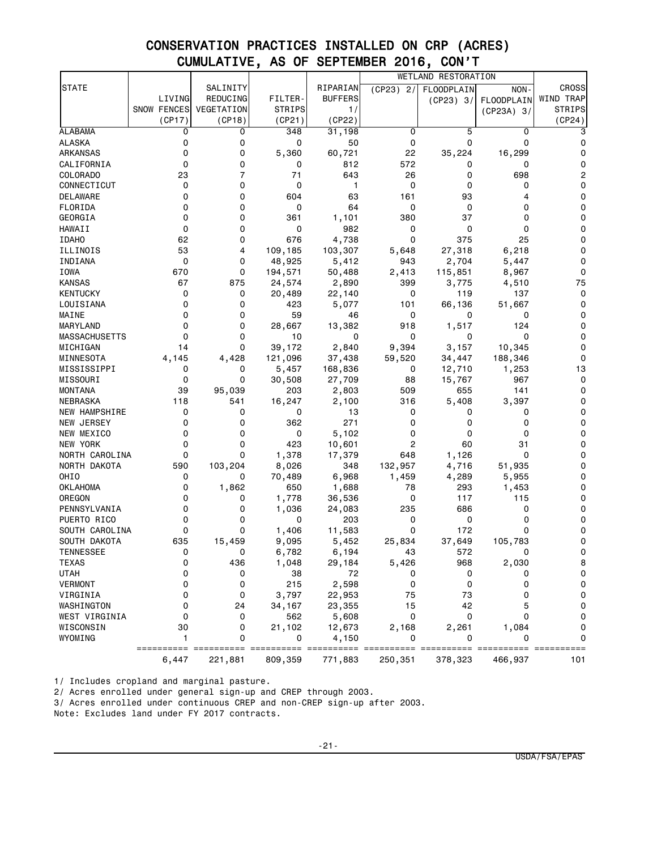# CONSERVATION PRACTICES INSTALLED ON CRP (ACRES) CUMULATIVE, AS OF SEPTEMBER 2016, CON'T

| SALINITY<br>RIPARIAN<br><b>STATE</b><br>$(CP23)$ 2/<br><b>FLOODPLAIN</b><br>NON-<br>LIVING<br>REDUCING<br><b>BUFFERS</b><br>FILTER-<br><b>FLOODPLAIN</b><br>(CP23) 3/<br><b>SNOW FENCES</b><br>VEGETATION<br><b>STRIPS</b><br>1/ | <b>CROSS</b><br>WIND TRAP<br><b>STRIPS</b> |
|----------------------------------------------------------------------------------------------------------------------------------------------------------------------------------------------------------------------------------|--------------------------------------------|
|                                                                                                                                                                                                                                  |                                            |
|                                                                                                                                                                                                                                  |                                            |
| $(CP23A)$ 3/                                                                                                                                                                                                                     |                                            |
| (CP22)<br>(CP17)<br>(CP18)<br>(CP21)                                                                                                                                                                                             | (CP24)                                     |
| <b>ALABAMA</b><br>0<br>0<br>348<br>31,198<br>0<br>5<br>0                                                                                                                                                                         | 3                                          |
| 0<br>0<br>0<br>ALASKA<br>0<br>50<br>0<br>0                                                                                                                                                                                       | 0                                          |
| 0<br>5,360<br>22<br>35,224<br>16,299<br>ARKANSAS<br>0<br>60,721                                                                                                                                                                  | 0                                          |
| 812<br>572<br>CALIFORNIA<br>0<br>0<br>0<br>0<br>0                                                                                                                                                                                | 0                                          |
| 7<br>23<br>71<br>643<br>COLORADO<br>26<br>0<br>698                                                                                                                                                                               | $\overline{c}$                             |
| 0<br>0<br>$\mathbf 0$<br>0<br>CONNECTICUT<br>1<br>0<br>0                                                                                                                                                                         | 0                                          |
| 0<br>604<br>63<br>93<br><b>DELAWARE</b><br>0<br>161<br>4                                                                                                                                                                         | 0                                          |
| 0<br>0<br>64<br>FLORIDA<br>0<br>0<br>0<br>0                                                                                                                                                                                      | 0                                          |
| 0<br>380<br>GEORGIA<br>0<br>361<br>1,101<br>37<br>0                                                                                                                                                                              | 0                                          |
| HAWAII<br>0<br>0<br>0<br>982<br>0<br>0<br>0                                                                                                                                                                                      | 0                                          |
| 62<br>0<br>375<br><b>IDAHO</b><br>676<br>4,738<br>0<br>25                                                                                                                                                                        | 0                                          |
| 53<br>109,185<br>27,318<br>ILLINOIS<br>4<br>103,307<br>6,218<br>5,648                                                                                                                                                            | 0                                          |
| 0<br>48,925<br>2,704<br>INDIANA<br>0<br>5,412<br>943<br>5,447                                                                                                                                                                    | 0                                          |
| IOWA<br>670<br>0<br>194,571<br>50,488<br>2,413<br>115,851<br>8,967                                                                                                                                                               | 0                                          |
| 67<br><b>KANSAS</b><br>875<br>24,574<br>399<br>3,775<br>2,890<br>4,510                                                                                                                                                           | 75                                         |
| <b>KENTUCKY</b><br>0<br>0<br>22,140<br>0<br>119<br>137<br>20,489                                                                                                                                                                 | 0                                          |
| LOUISIANA<br>0<br>0<br>423<br>5,077<br>101<br>66,136<br>51,667                                                                                                                                                                   | 0                                          |
| 59<br>MAINE<br>0<br>0<br>46<br>0<br>0<br>0                                                                                                                                                                                       | 0                                          |
| 0<br>0<br>28,667<br>MARYLAND<br>13,382<br>918<br>1,517<br>124                                                                                                                                                                    | 0                                          |
| $\mathbf 0$<br><b>MASSACHUSETTS</b><br>0<br>10<br>0<br>0<br>0<br>0                                                                                                                                                               | 0                                          |
| 0<br>MICHIGAN<br>14<br>39,172<br>2,840<br>9,394<br>3,157<br>10,345                                                                                                                                                               | 0                                          |
| MINNESOTA<br>4,145<br>4,428<br>121,096<br>37,438<br>59,520<br>34,447<br>188,346                                                                                                                                                  | 0                                          |
| MISSISSIPPI<br>0<br>5,457<br>168,836<br>12,710<br>1,253<br>0<br>0                                                                                                                                                                | 13                                         |
| MISSOURI<br>0<br>0<br>30,508<br>27,709<br>88<br>15,767<br>967                                                                                                                                                                    | 0                                          |
| <b>MONTANA</b><br>39<br>95,039<br>203<br>2,803<br>509<br>655<br>141                                                                                                                                                              | 0                                          |
| 3,397<br>NEBRASKA<br>118<br>541<br>16,247<br>2,100<br>316<br>5,408                                                                                                                                                               | 0                                          |
| <b>NEW HAMPSHIRE</b><br>0<br>0<br>0<br>13<br>0<br>0<br>0                                                                                                                                                                         | 0                                          |
| 0<br>271<br>NEW JERSEY<br>0<br>362<br>0<br>0<br>0                                                                                                                                                                                | 0                                          |
| 0<br>0<br>5,102<br>NEW MEXICO<br>0<br>0<br>0<br>0                                                                                                                                                                                | 0                                          |
| 423<br>$\overline{c}$<br>60<br>31<br>NEW YORK<br>0<br>0<br>10,601                                                                                                                                                                | 0                                          |
| 0<br>0<br>0<br>NORTH CAROLINA<br>1,378<br>17,379<br>648<br>1,126                                                                                                                                                                 | 0                                          |
| 590<br>NORTH DAKOTA<br>103,204<br>8,026<br>348<br>132,957<br>4,716<br>51,935                                                                                                                                                     | 0                                          |
| OHIO<br>0<br>70,489<br>6,968<br>1,459<br>4,289<br>0<br>5,955                                                                                                                                                                     | 0                                          |
| 1,862<br>650<br>OKLAHOMA<br>0<br>1,688<br>78<br>293<br>1,453                                                                                                                                                                     | 0                                          |
| <b>OREGON</b><br>0<br>1,778<br>36,536<br>0<br>117<br>115<br>0                                                                                                                                                                    | 0                                          |
| 235<br>686<br>PENNSYLVANIA<br>0<br>0<br>1,036<br>24,083<br>0                                                                                                                                                                     | 0                                          |
| 0<br>203<br>PUERTO RICO<br>0<br>0<br>0<br>0<br>0                                                                                                                                                                                 | 0                                          |
| 0<br>SOUTH CAROLINA<br>0<br>1,406<br>11,583<br>0<br>172<br>0                                                                                                                                                                     | 0                                          |
| 635<br>SOUTH DAKOTA<br>15,459<br>9,095<br>5,452<br>25,834<br>37,649<br>105,783                                                                                                                                                   | 0                                          |
| TENNESSEE<br>6,782<br>6,194<br>572<br>0<br>43<br>0                                                                                                                                                                               | 0                                          |
| 0<br>TEXAS<br>436<br>1,048<br>29,184<br>5,426<br>968<br>2,030                                                                                                                                                                    | 8                                          |
| <b>UTAH</b><br>0<br>0<br>38<br>72<br>0<br>0<br>0                                                                                                                                                                                 | 0                                          |
| 215<br>2,598<br><b>VERMONT</b><br>0<br>0<br>0<br>0<br>0                                                                                                                                                                          | 0                                          |
| 0<br>73<br>VIRGINIA<br>0<br>3,797<br>22,953<br>75<br>0                                                                                                                                                                           | 0                                          |
| 0<br>24<br>15<br>42<br>WASHINGTON<br>34,167<br>23,355<br>5                                                                                                                                                                       | 0                                          |
| $\mathbf 0$<br>$\mathbf 0$<br>WEST VIRGINIA<br>0<br>562<br>5,608<br>$\Omega$<br>0                                                                                                                                                | 0                                          |
| WISCONSIN<br>30<br>0<br>21,102<br>12,673<br>2,168<br>2,261<br>1,084                                                                                                                                                              | 0                                          |
| WYOMING<br>1<br>0<br>4,150<br>0<br>0<br>0                                                                                                                                                                                        | 0                                          |
| =======<br>======<br>=======<br>==========<br>========<br>6,447<br>221,881<br>809,359<br>771,883<br>250,351<br>378,323<br>466,937                                                                                                | ==========<br>101                          |

1/ Includes cropland and marginal pasture.

2/ Acres enrolled under general sign-up and CREP through 2003.

3/ Acres enrolled under continuous CREP and non-CREP sign-up after 2003.

Note: Excludes land under FY 2017 contracts.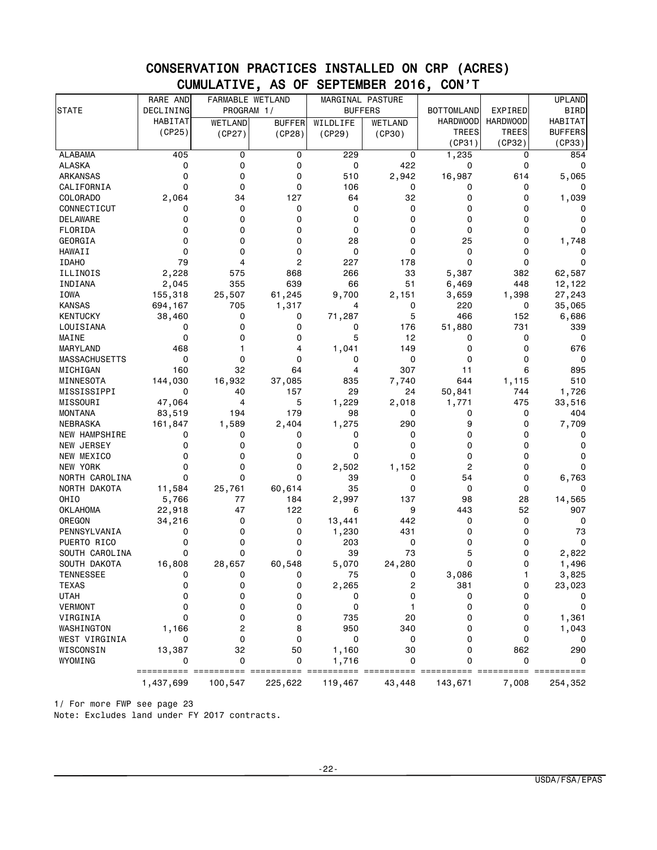|                      | RARE AND          | FARMABLE WETLAND |               | MARGINAL PASTURE<br><b>BUFFERS</b> |         |                   |                 | <b>UPLAND</b>  |
|----------------------|-------------------|------------------|---------------|------------------------------------|---------|-------------------|-----------------|----------------|
| <b>STATE</b>         | DECLINING         | PROGRAM 1/       |               |                                    |         | <b>BOTTOMLAND</b> | EXPIRED         | BIRD           |
|                      | HABITAT           | <b>WETLAND</b>   | <b>BUFFER</b> | WILDLIFE                           | WETLAND | <b>HARDWOOD</b>   | <b>HARDWOOD</b> | <b>HABITAT</b> |
|                      | (CP25)            | (CP27)           | (CP28)        | (CP29)                             | (CP30)  | <b>TREES</b>      | <b>TREES</b>    | <b>BUFFERS</b> |
|                      |                   |                  |               |                                    |         | (CP31)            | (CP32)          | (CP33)         |
| <b>ALABAMA</b>       | 405               | 0                | 0             | 229                                | 0       | 1,235             | 0               | 854            |
| <b>ALASKA</b>        | 0                 | 0                | 0             | 0                                  | 422     | 0                 | $\mathbf 0$     | 0              |
| ARKANSAS             | 0                 | 0                | 0             | 510                                | 2,942   | 16,987            | 614             | 5,065          |
| CALIFORNIA           | 0                 | 0                | 0             | 106                                | 0       | 0                 | 0               | 0              |
| COLORADO             | 2,064             | 34               | 127           | 64                                 | 32      | 0                 | 0               | 1,039          |
| CONNECTICUT          | 0                 | 0                | 0             | 0                                  | 0       | 0                 | $\mathbf 0$     | 0              |
| DELAWARE             | 0                 | 0                | 0             | 0                                  | 0       | 0                 | 0               | 0              |
| FLORIDA              | 0                 | 0                | 0             | 0                                  | 0       | 0                 | $\mathbf 0$     | 0              |
| GEORGIA              | 0                 | 0                | 0             | 28                                 | 0       | 25                | $\mathbf 0$     | 1,748          |
| HAWAII               | 0                 | 0                | 0             | 0                                  | 0       | 0                 | 0               | 0              |
| <b>IDAHO</b>         | 79                | 4                | 2             | 227                                | 178     | $\mathbf 0$       | $\mathbf 0$     | 0              |
| ILLINOIS             | 2,228             | 575              | 868           | 266                                | 33      | 5,387             | 382             | 62,587         |
| INDIANA              | 2,045             | 355              | 639           | 66                                 | 51      | 6,469             | 448             | 12,122         |
| <b>IOWA</b>          | 155,318           | 25,507           | 61,245        | 9,700                              | 2,151   | 3,659             | 1,398           | 27,243         |
| <b>KANSAS</b>        | 694,167           | 705              | 1,317         | 4                                  | 0       | 220               | 0               | 35,065         |
|                      |                   |                  |               |                                    | 5       |                   |                 |                |
| <b>KENTUCKY</b>      | 38,460            | 0                | 0             | 71,287                             |         | 466               | 152             | 6,686          |
| LOUISIANA            | 0                 | 0                | 0             | 0                                  | 176     | 51,880            | 731             | 339            |
| MAINE                | 0                 | 0                | 0             | 5                                  | 12      | 0                 | 0               | 0              |
| MARYLAND             | 468               | 1                | 4             | 1,041                              | 149     | 0                 | 0               | 676            |
| <b>MASSACHUSETTS</b> | 0                 | 0                | 0             | 0                                  | 0       | 0                 | 0               | 0              |
| MICHIGAN             | 160               | 32               | 64            | 4                                  | 307     | 11                | 6               | 895            |
| MINNESOTA            | 144,030           | 16,932           | 37,085        | 835                                | 7,740   | 644               | 1,115           | 510            |
| MISSISSIPPI          | 0                 | 40               | 157           | 29                                 | 24      | 50,841            | 744             | 1,726          |
| MISSOURI             | 47,064            | 4                | 5             | 1,229                              | 2,018   | 1,771             | 475             | 33,516         |
| MONTANA              | 83,519            | 194              | 179           | 98                                 | 0       | 0                 | 0               | 404            |
| NEBRASKA             | 161,847           | 1,589            | 2,404         | 1,275                              | 290     | 9                 | 0               | 7,709          |
| <b>NEW HAMPSHIRE</b> | 0                 | 0                | 0             | 0                                  | 0       | 0                 | 0               | 0              |
| NEW JERSEY           | 0                 | 0                | 0             | 0                                  | 0       | 0                 | 0               | 0              |
| NEW MEXICO           | 0                 | 0                | 0             | 0                                  | 0       | 0                 | 0               | 0              |
| NEW YORK             | 0                 | 0                | 0             | 2,502                              | 1,152   | 2                 | 0               | 0              |
| NORTH CAROLINA       | 0                 | 0                | 0             | 39                                 | 0       | 54                | 0               | 6,763          |
| NORTH DAKOTA         | 11,584            | 25,761           | 60,614        | 35                                 | 0       | 0                 | 0               | 0              |
| OHIO                 | 5,766             | 77               | 184           | 2,997                              | 137     | 98                | 28              | 14,565         |
| OKLAHOMA             | 22,918            | 47               | 122           | 6                                  | 9       | 443               | 52              | 907            |
| OREGON               | 34,216            | 0                | 0             | 13,441                             | 442     | 0                 | 0               | 0              |
| PENNSYLVANIA         | 0                 | 0                | 0             | 1,230                              | 431     | 0                 | 0               | 73             |
| PUERTO RICO          | $\mathbf 0$       | 0                | 0             | 203                                | 0       | 0                 | $\Omega$        | 0              |
| SOUTH CAROLINA       | 0                 | 0                | $\mathbf 0$   | 39                                 | 73      | 5                 | 0               | 2,822          |
| SOUTH DAKOTA         | 16,808            | 28,657           | 60,548        | 5,070                              | 24,280  | 0                 | 0               | 1,496          |
| TENNESSEE            | 0                 | 0                | 0             | 75                                 | 0       | 3,086             | 1               | 3,825          |
| <b>TEXAS</b>         | 0                 | 0                | 0             | 2,265                              | 2       | 381               | 0               | 23,023         |
| <b>UTAH</b>          | 0                 | 0                | 0             | 0                                  | 0       | 0                 | 0               | 0              |
| <b>VERMONT</b>       | 0                 | 0                | 0             | 0                                  | 1       | 0                 | $\mathbf 0$     | 0              |
| VIRGINIA             | 0                 | 0                | 0             | 735                                | 20      | 0                 | 0               | 1,361          |
| WASHINGTON           |                   | $\overline{c}$   | 8             | 950                                | 340     | 0                 | 0               |                |
| WEST VIRGINIA        | 1,166             | 0                | 0             | 0                                  | 0       | 0                 | $\mathbf 0$     | 1,043          |
|                      | 0                 |                  |               |                                    |         |                   |                 | 0              |
| WISCONSIN            | 13,387            | 32               | 50            | 1,160                              | 30      | 0                 | 862             | 290            |
| WYOMING              | 0                 | 0                | 0             | 1,716                              | 0       | $\Omega$          | 0               | 0              |
|                      | ================= |                  | === =======   |                                    |         |                   |                 |                |
|                      | 1,437,699         | 100,547          | 225,622       | 119,467                            | 43,448  | 143,671           | 7,008           | 254,352        |

### CONSERVATION PRACTICES INSTALLED ON CRP (ACRES) CUMULATIVE, AS OF SEPTEMBER 2016, CON'T

1/ For more FWP see page 23 Note: Excludes land under FY 2017 contracts.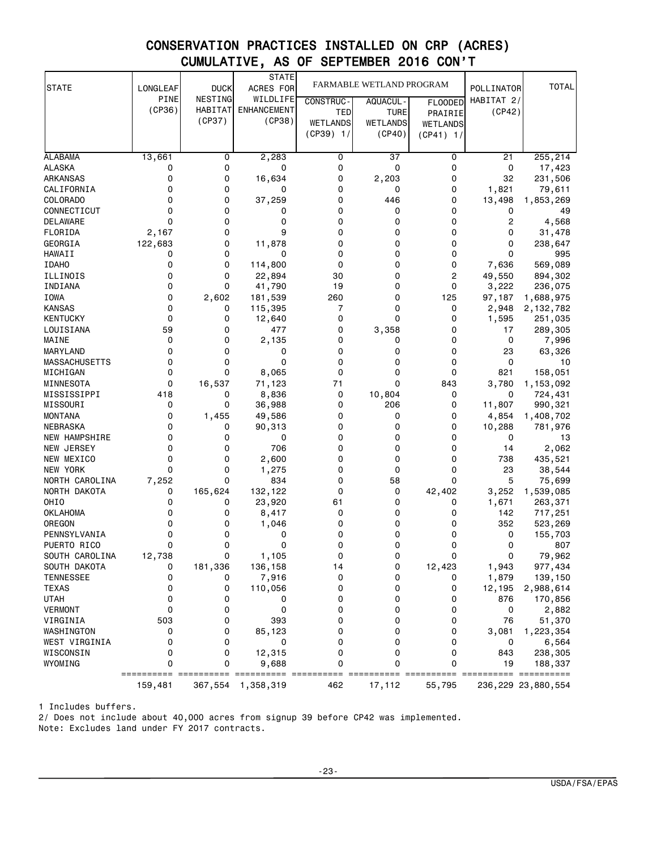# CONSERVATION PRACTICES INSTALLED ON CRP (ACRES) CUMULATIVE, AS OF SEPTEMBER 2016 CON'T

| <b>STATE</b>                       | LONGLEAF    | <b>DUCK</b>    | <b>STATE</b><br>ACRES FOR | FARMABLE WETLAND PROGRAM |                 |                | POLLINATOR  | <b>TOTAL</b>          |
|------------------------------------|-------------|----------------|---------------------------|--------------------------|-----------------|----------------|-------------|-----------------------|
|                                    | <b>PINE</b> | NESTING        | WILDLIFE                  | <b>CONSTRUC-</b>         | AQUACUL -       | <b>FLOODED</b> | HABITAT 2/  |                       |
|                                    | (CP36)      | <b>HABITAT</b> | <b>ENHANCEMENT</b>        | TED                      | TURE            | PRAIRIE        | (CP42)      |                       |
|                                    |             | (CP37)         | (CP38)                    | <b>WETLANDS</b>          | <b>WETLANDS</b> | WETLANDS       |             |                       |
|                                    |             |                |                           | $(CP39)$ 1/              | (CP40)          | $(CP41)$ 1/    |             |                       |
|                                    |             |                |                           |                          |                 |                |             |                       |
| <b>ALABAMA</b>                     | 13,661      | 0              | 2,283                     | 0                        | 37              | 0              | 21          | 255,214               |
| <b>ALASKA</b>                      | 0           | 0              | 0                         | 0                        | 0               | 0              | 0           | 17,423                |
| <b>ARKANSAS</b>                    | 0           | 0              | 16,634                    | 0                        | 2,203           | 0              | 32          | 231,506               |
| CALIFORNIA                         | 0           | 0              | 0                         | 0                        | 0               | 0              | 1,821       | 79,611                |
| COLORADO                           | 0           | 0              | 37,259                    | 0                        | 446             | 0              | 13,498      | 1,853,269             |
| CONNECTICUT                        | 0           | 0              | 0                         | 0                        | 0               | 0              | 0           | 49                    |
| DELAWARE                           | 0           | 0              | 0                         | 0                        | 0               | 0              | 2           | 4,568                 |
| FLORIDA                            | 2,167       | 0              | 9                         | 0                        | 0               | 0              | 0           | 31,478                |
| GEORGIA                            | 122,683     | 0              | 11,878                    | 0                        | 0               | 0              | 0           | 238,647               |
| HAWAII                             | 0           | 0              | 0                         | 0                        | 0               | 0              | $\Omega$    | 995                   |
| <b>IDAHO</b>                       | 0           | 0              | 114,800                   | 0                        | 0               | 0              | 7,636       | 569,089               |
| ILLINOIS                           | 0           | 0              | 22,894                    | 30                       | 0               | $\overline{2}$ | 49,550      | 894,302               |
| INDIANA                            | 0           | 0              | 41,790                    | 19                       | 0               | 0              | 3,222       | 236,075               |
| <b>IOWA</b>                        | 0           | 2,602          | 181,539                   | 260                      | 0               | 125            | 97,187      | 1,688,975             |
| <b>KANSAS</b>                      | 0           | 0              | 115,395                   | 7                        | 0               | 0              | 2,948       | 2,132,782             |
| <b>KENTUCKY</b>                    | 0           | 0              | 12,640                    | $\Omega$                 | 0               | 0              | 1,595       | 251,035               |
| LOUISIANA                          | 59          | 0              | 477                       | 0                        | 3,358           | 0              | 17          | 289,305               |
| MAINE                              | 0           | 0              | 2,135                     | 0                        | 0               | 0              | 0           | 7,996                 |
| MARYLAND                           | 0           | 0              | 0                         | 0                        | 0               | 0              | 23          | 63,326                |
| <b>MASSACHUSETTS</b>               | 0           | 0              | 0                         | 0                        | 0               | 0              | 0           | 10                    |
| MICHIGAN                           | 0           | 0              | 8,065                     | 0                        | 0               | 0              | 821         | 158,051               |
| MINNESOTA                          | 0           | 16,537         | 71,123                    | 71                       | 0               | 843            | 3,780       | 1,153,092             |
| MISSISSIPPI                        | 418         | 0              | 8,836                     | 0                        | 10,804          | 0              | 0           | 724,431               |
| MISSOURI                           | 0           | 0              | 36,988                    | 0                        | 206             | 0              | 11,807      | 990,321               |
| <b>MONTANA</b>                     | 0           | 1,455          | 49,586                    | 0                        | 0               | 0              | 4,854       | 1,408,702             |
| NEBRASKA                           | 0<br>0      | 0<br>0         | 90,313<br>0               | 0<br>0                   | 0<br>0          | 0<br>0         | 10,288<br>0 | 781,976               |
| <b>NEW HAMPSHIRE</b><br>NEW JERSEY | 0           | 0              | 706                       | 0                        | 0               | 0              |             | 13<br>2,062           |
| NEW MEXICO                         | 0           | 0              |                           | 0                        | 0               | 0              | 14<br>738   |                       |
| NEW YORK                           | 0           | 0              | 2,600<br>1,275            | 0                        | 0               | 0              | 23          | 435,521<br>38,544     |
| NORTH CAROLINA                     | 7,252       | 0              | 834                       | 0                        | 58              | 0              | 5           | 75,699                |
| NORTH DAKOTA                       | 0           | 165,624        | 132,122                   | 0                        | 0               | 42,402         | 3,252       | 1,539,085             |
| OHIO                               | 0           | 0              | 23,920                    | 61                       | 0               | 0              | 1,671       | 263,371               |
| <b>OKLAHOMA</b>                    | 0           | 0              | 8,417                     | 0                        | 0               | 0              | 142         | 717,251               |
| OREGON                             | 0           | 0              | 1,046                     | 0                        | 0               | 0              | 352         | 523,269               |
| PENNSYLVANIA                       | 0           | 0              | 0                         | 0                        | 0               | 0              | 0           | 155,703               |
| PUERTO RICO                        | 0           | 0              | 0                         | 0                        | 0               | 0              | 0           | 807                   |
| SOUTH CAROLINA                     | 12,738      | 0              | 1,105                     | 0                        | 0               | 0              | 0           | 79,962                |
| SOUTH DAKOTA                       | 0           | 181,336        | 136,158                   | 14                       | 0               | 12,423         | 1,943       | 977,434               |
| <b>TENNESSEE</b>                   | 0           | 0              | 7,916                     | 0                        | 0               | 0              | 1,879       | 139,150               |
| <b>TEXAS</b>                       | 0           | 0              | 110,056                   | 0                        | 0               | 0              | 12,195      | 2,988,614             |
| <b>UTAH</b>                        | 0           | 0              | 0                         | 0                        | 0               | 0              | 876         | 170,856               |
| <b>VERMONT</b>                     | 0           | 0              | 0                         | 0                        | 0               | 0              | 0           | 2,882                 |
| VIRGINIA                           | 503         | 0              | 393                       | 0                        | 0               | 0              | 76          | 51,370                |
| WASHINGTON                         | 0           | 0              | 85,123                    | 0                        | 0               | 0              | 3,081       | 1,223,354             |
| WEST VIRGINIA                      | 0           | 0              | 0                         | 0                        | 0               | 0              | 0           | 6,564                 |
| WISCONSIN                          | 0           | 0              | 12,315                    | 0                        | 0               | 0              | 843         | 238,305               |
| WYOMING                            | 0           | 0              | 9,688                     | 0                        | 0               | 0              | 19          | 188,337               |
|                                    |             | 367,554        | 1,358,319                 | 462                      | 17,112          | 55,795         |             | 236, 229 23, 880, 554 |
|                                    | 159,481     |                |                           |                          |                 |                |             |                       |

1 Includes buffers.

2/ Does not include about 40,000 acres from signup 39 before CP42 was implemented. Note: Excludes land under FY 2017 contracts.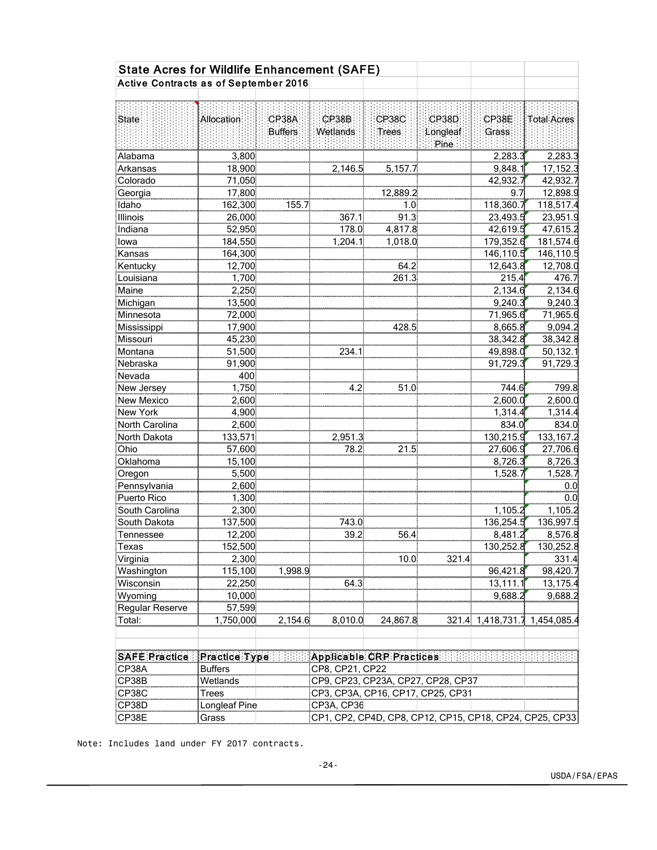| <b>State Acres for Wildlife Enhancement (SAFE)</b> |                   |                |                          |                                    |          |             |                                                         |
|----------------------------------------------------|-------------------|----------------|--------------------------|------------------------------------|----------|-------------|---------------------------------------------------------|
| Active Contracts as of September 2016              |                   |                |                          |                                    |          |             |                                                         |
|                                                    |                   |                |                          |                                    |          |             |                                                         |
|                                                    |                   |                |                          |                                    |          |             |                                                         |
| State                                              | <b>Allocation</b> | CP38A          | CP38B                    | <b>CP38C</b>                       | CP38D    | CP38E       | <b>Total Acres</b>                                      |
|                                                    |                   | <b>Buffers</b> | Wetlands                 | Trees                              | Longleaf | Grass       |                                                         |
|                                                    |                   |                |                          |                                    | Pine     |             |                                                         |
| Alabama                                            | 3,800             |                |                          |                                    |          | 2,283.3     | 2,283.3                                                 |
| Arkansas                                           | 18,900            |                | 2,146.5                  | 5,157.7                            |          | 9,848.1     | 17,152.3                                                |
| Colorado                                           | 71,050            |                |                          |                                    |          | 42,932.7    | 42,932.7                                                |
| Georgia                                            | 17,800            |                |                          | 12,889.2                           |          | 9.7         | 12,898.9                                                |
| Idaho                                              | 162,300           | 155.7          |                          | 1.0                                |          | 118,360.7   | 118,517.4                                               |
| Illinois                                           | 26,000            |                | 367.1                    | 91.3                               |          | 23,493.5    | 23,951.9                                                |
| Indiana                                            | 52,950            |                | 178.0                    | 4,817.8                            |          | 42,619.5    | 47,615.2                                                |
| lowa                                               | 184,550           |                | 1,204.1                  | 1,018.0                            |          | 179,352.6   | 181,574.6                                               |
| Kansas                                             | 164,300           |                |                          |                                    |          | 146,110.5   | 146,110.5                                               |
| Kentucky                                           | 12,700            |                |                          | 64.2                               |          | 12,643.8    | 12,708.0                                                |
| Louisiana                                          | 1,700             |                |                          | 261.3                              |          | 215.4       | 476.7                                                   |
| Maine                                              | 2,250             |                |                          |                                    |          | 2,134.6     | 2,134.6                                                 |
| Michigan                                           | 13,500            |                |                          |                                    |          | 9,240.3     | 9,240.3                                                 |
| Minnesota                                          | 72,000            |                |                          |                                    |          | 71,965.6    | 71,965.6                                                |
| Mississippi                                        | 17,900            |                |                          | 428.5                              |          | 8,665.8     | 9,094.2                                                 |
| Missouri                                           | 45,230            |                |                          |                                    |          | 38,342.8    | 38,342.8                                                |
| Montana                                            | 51,500            |                | 234.1                    |                                    |          | 49,898.0    | 50,132.1                                                |
| Nebraska                                           | 91,900            |                |                          |                                    |          | 91,729.3    | 91,729.3                                                |
| Nevada                                             | 400               |                |                          |                                    |          |             |                                                         |
| New Jersey                                         | 1,750             |                | 4.2                      | 51.0                               |          | 744.6       | 799.8                                                   |
| <b>New Mexico</b>                                  | 2,600             |                |                          |                                    |          | 2,600.0     | 2,600.0                                                 |
| New York                                           | 4,900             |                |                          |                                    |          | 1,314.4     | 1,314.4                                                 |
| North Carolina                                     | 2,600             |                |                          |                                    |          | 834.0       | 834.0                                                   |
| North Dakota                                       | 133,571           |                | 2,951.3                  |                                    |          | 130,215.9   | 133, 167.2                                              |
| Ohio                                               | 57,600            |                | 78.2                     | 21.5                               |          | 27,606.9    | 27,706.6                                                |
| Oklahoma                                           | 15,100            |                |                          |                                    |          | 8,726.3     | 8,726.3                                                 |
| Oregon                                             | 5,500             |                |                          |                                    |          | 1,528.7     | 1,528.7                                                 |
| Pennsylvania                                       | 2,600             |                |                          |                                    |          |             | 0.0                                                     |
| Puerto Rico                                        | 1,300             |                |                          |                                    |          |             | 0.0                                                     |
| South Carolina                                     | 2,300             |                |                          |                                    |          | 1,105.2     | 1,105.2                                                 |
| South Dakota                                       | 137,500           |                | 743.0                    |                                    |          | 136,254.5   | 136,997.5                                               |
| Tennessee                                          | 12,200            |                | 39.2                     | 56.4                               |          | 8,481.2     | 8,576.8                                                 |
| Texas                                              | 152,500           |                |                          |                                    |          | 130,252.8   | 130,252.8                                               |
| Virginia                                           | 2,300             |                |                          | 10.0                               | 321.4    |             | 331.4                                                   |
| Washington                                         | 115,100           | 1,998.9        |                          |                                    |          | 96,421.8    | 98,420.7                                                |
| Wisconsin                                          | 22,250            |                | 64.3                     |                                    |          | 13,111.1    | 13,175.4                                                |
| Wyoming                                            | 10,000            |                |                          |                                    |          | 9,688.2     | 9,688.2                                                 |
| Regular Reserve                                    | 57,599            |                |                          |                                    |          |             |                                                         |
| Total:                                             | 1,750,000         | 2,154.6        | 8,010.0                  | 24,867.8                           | 321.4    | 1,418,731.7 | 1,454,085.4                                             |
|                                                    |                   |                |                          |                                    |          |             |                                                         |
|                                                    |                   |                |                          |                                    |          |             |                                                         |
| <b>SAFE Practice:</b>                              | Practice Type     |                | Applicable CRP Practices |                                    |          |             |                                                         |
| CP38A                                              | <b>Buffers</b>    |                | CP8, CP21, CP22          |                                    |          |             |                                                         |
| CP38B                                              | Wetlands          |                |                          | CP9, CP23, CP23A, CP27, CP28, CP37 |          |             |                                                         |
| CP38C                                              | <b>Trees</b>      |                |                          | CP3, CP3A, CP16, CP17, CP25, CP31  |          |             |                                                         |
| CP38D                                              | Longleaf Pine     |                | CP3A, CP36               |                                    |          |             |                                                         |
| CP38E                                              | Grass             |                |                          |                                    |          |             | CP1, CP2, CP4D, CP8, CP12, CP15, CP18, CP24, CP25, CP33 |

Note: Includes land under FY 2017 contracts.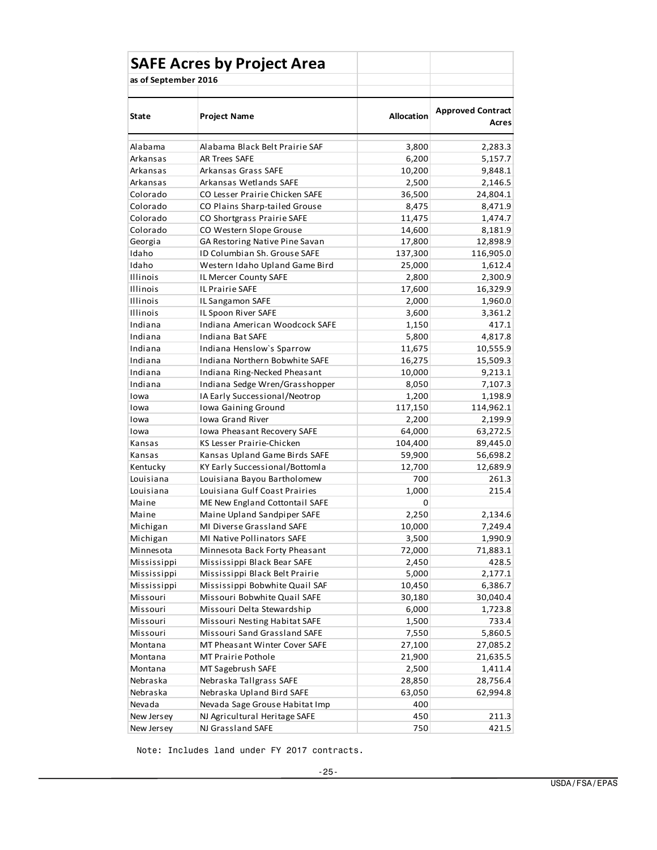|                      | <b>SAFE Acres by Project Area</b>  |                   |                                   |
|----------------------|------------------------------------|-------------------|-----------------------------------|
| as of September 2016 |                                    |                   |                                   |
|                      |                                    |                   |                                   |
| <b>State</b>         | <b>Project Name</b>                | <b>Allocation</b> | <b>Approved Contract</b><br>Acres |
| Alabama              | Alabama Black Belt Prairie SAF     | 3,800             | 2,283.3                           |
| Arkansas             | <b>AR Trees SAFE</b>               | 6,200             | 5,157.7                           |
| Arkansas             | Arkansas Grass SAFE                | 10,200            | 9,848.1                           |
| Arkansas             | Arkansas Wetlands SAFE             | 2,500             | 2,146.5                           |
| Colorado             | CO Lesser Prairie Chicken SAFE     | 36,500            | 24,804.1                          |
| Colorado             | CO Plains Sharp-tailed Grouse      | 8,475             | 8,471.9                           |
| Colorado             | CO Shortgrass Prairie SAFE         | 11,475            | 1,474.7                           |
| Colorado             | CO Western Slope Grouse            | 14,600            | 8,181.9                           |
| Georgia              | GA Restoring Native Pine Savan     | 17,800            | 12,898.9                          |
| Idaho                | ID Columbian Sh. Grouse SAFE       | 137,300           | 116,905.0                         |
| Idaho                | Western Idaho Upland Game Bird     | 25,000            | 1,612.4                           |
| Illinois             | IL Mercer County SAFE              | 2,800             | 2,300.9                           |
| Illinois             | IL Prairie SAFE                    | 17,600            | 16,329.9                          |
| Illinois             | IL Sangamon SAFE                   | 2,000             | 1,960.0                           |
| Illinois             | IL Spoon River SAFE                | 3,600             | 3,361.2                           |
| Indiana              | Indiana American Woodcock SAFE     | 1,150             | 417.1                             |
| Indiana              | Indiana Bat SAFE                   | 5,800             | 4,817.8                           |
| Indiana              | Indiana Henslow's Sparrow          | 11,675            | 10,555.9                          |
| Indiana              | Indiana Northern Bobwhite SAFE     | 16,275            | 15,509.3                          |
| Indiana              | Indiana Ring-Necked Pheasant       | 10,000            | 9,213.1                           |
| Indiana              | Indiana Sedge Wren/Grasshopper     | 8,050             | 7,107.3                           |
| Iowa                 | IA Early Successional/Neotrop      | 1,200             | 1,198.9                           |
| Iowa                 | Iowa Gaining Ground                | 117,150           | 114,962.1                         |
| Iowa                 | <b>Iowa Grand River</b>            | 2,200             | 2,199.9                           |
| Iowa                 | <b>Iowa Pheasant Recovery SAFE</b> | 64,000            | 63,272.5                          |
| Kansas               | KS Lesser Prairie-Chicken          | 104,400           | 89,445.0                          |
| Kansas               | Kansas Upland Game Birds SAFE      | 59,900            | 56,698.2                          |
| Kentucky             | KY Early Successional/Bottomla     | 12,700            | 12,689.9                          |
| Louisiana            | Louisiana Bayou Bartholomew        | 700               | 261.3                             |
| Louisiana            | Louisiana Gulf Coast Prairies      | 1,000             | 215.4                             |
| Maine                | ME New England Cottontail SAFE     | 0                 |                                   |
| Maine                | Maine Upland Sandpiper SAFE        | 2,250             | 2,134.6                           |
| Michigan             | MI Diverse Grassland SAFE          | 10,000            | 7,249.4                           |
| Michigan             | MI Native Pollinators SAFE         | 3,500             | 1,990.9                           |
| Minnesota            | Minnesota Back Forty Pheasant      | 72,000            | 71,883.1                          |
| Mississippi          | Mississippi Black Bear SAFE        | 2,450             | 428.5                             |
| Mississippi          | Mississippi Black Belt Prairie     | 5,000             | 2,177.1                           |
| Mississippi          | Mississippi Bobwhite Quail SAF     | 10,450            | 6,386.7                           |
| Missouri             | Missouri Bobwhite Quail SAFE       | 30,180            | 30,040.4                          |
| Missouri             | Missouri Delta Stewardship         | 6,000             | 1,723.8                           |
| Missouri             | Missouri Nesting Habitat SAFE      | 1,500             | 733.4                             |
| Missouri             | Missouri Sand Grassland SAFE       | 7,550             | 5,860.5                           |
| Montana              | MT Pheasant Winter Cover SAFE      | 27,100            | 27,085.2                          |
| Montana              | MT Prairie Pothole                 | 21,900            | 21,635.5                          |
| Montana              | MT Sagebrush SAFE                  | 2,500             | 1,411.4                           |
| Nebraska             | Nebraska Tallgrass SAFE            | 28,850            | 28,756.4                          |
| Nebraska             | Nebraska Upland Bird SAFE          | 63,050            | 62,994.8                          |
| Nevada               | Nevada Sage Grouse Habitat Imp     | 400               |                                   |
| New Jersey           | NJ Agricultural Heritage SAFE      | 450               | 211.3                             |
| New Jersey           | NJ Grassland SAFE                  | 750               | 421.5                             |

Note: Includes land under FY 2017 contracts.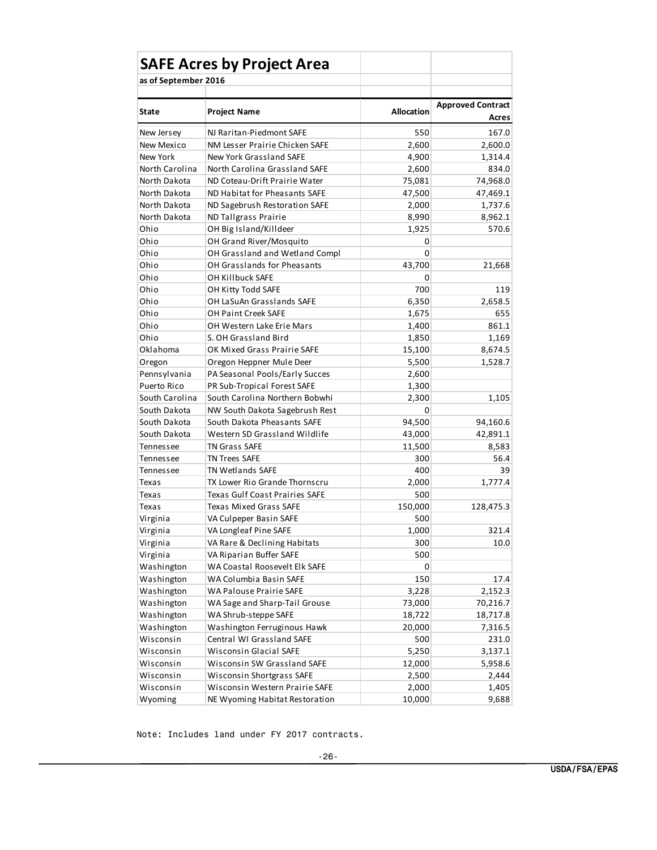|                      | <b>SAFE Acres by Project Area</b> |            |                                   |
|----------------------|-----------------------------------|------------|-----------------------------------|
| as of September 2016 |                                   |            |                                   |
|                      |                                   |            |                                   |
| <b>State</b>         | <b>Project Name</b>               | Allocation | <b>Approved Contract</b><br>Acres |
| New Jersey           | NJ Raritan-Piedmont SAFE          | 550        | 167.0                             |
| New Mexico           | NM Lesser Prairie Chicken SAFE    | 2,600      | 2,600.0                           |
| New York             | New York Grassland SAFE           | 4,900      | 1,314.4                           |
| North Carolina       | North Carolina Grassland SAFE     | 2,600      | 834.0                             |
| North Dakota         | ND Coteau-Drift Prairie Water     | 75,081     | 74,968.0                          |
| North Dakota         | ND Habitat for Pheasants SAFE     | 47,500     | 47,469.1                          |
| North Dakota         | ND Sagebrush Restoration SAFE     | 2,000      | 1,737.6                           |
| North Dakota         | ND Tallgrass Prairie              | 8,990      | 8,962.1                           |
| Ohio                 | OH Big Island/Killdeer            | 1,925      | 570.6                             |
| Ohio                 | OH Grand River/Mosquito           | 0          |                                   |
| Ohio                 | OH Grassland and Wetland Compl    | 0          |                                   |
| Ohio                 | OH Grasslands for Pheasants       | 43,700     | 21,668                            |
| Ohio                 | OH Killbuck SAFE                  | 0          |                                   |
| Ohio                 | OH Kitty Todd SAFE                | 700        | 119                               |
| Ohio                 | OH LaSuAn Grasslands SAFE         | 6,350      | 2,658.5                           |
| Ohio                 | <b>OH Paint Creek SAFE</b>        | 1,675      | 655                               |
| Ohio                 | OH Western Lake Erie Mars         | 1,400      | 861.1                             |
| Ohio                 | S. OH Grassland Bird              | 1,850      | 1,169                             |
| Oklahoma             | OK Mixed Grass Prairie SAFE       | 15,100     | 8,674.5                           |
| Oregon               | Oregon Heppner Mule Deer          | 5,500      | 1,528.7                           |
| Pennsylvania         | PA Seasonal Pools/Early Succes    | 2,600      |                                   |
| Puerto Rico          | PR Sub-Tropical Forest SAFE       | 1,300      |                                   |
| South Carolina       | South Carolina Northern Bobwhi    | 2,300      | 1,105                             |
| South Dakota         | NW South Dakota Sagebrush Rest    | 0          |                                   |
| South Dakota         | South Dakota Pheasants SAFE       | 94,500     | 94,160.6                          |
| South Dakota         | Western SD Grassland Wildlife     | 43,000     | 42,891.1                          |
| Tennessee            | <b>TN Grass SAFE</b>              | 11,500     | 8,583                             |
| Tennessee            | <b>TN Trees SAFE</b>              | 300        | 56.4                              |
| Tennessee            | <b>TN Wetlands SAFE</b>           | 400        | 39                                |
| Texas                | TX Lower Rio Grande Thornscru     | 2,000      | 1,777.4                           |
| Texas                | Texas Gulf Coast Prairies SAFE    | 500        |                                   |
| Texas                | <b>Texas Mixed Grass SAFE</b>     | 150,000    | 128,475.3                         |
| Virginia             | VA Culpeper Basin SAFE            | 500        |                                   |
| Virginia             | VA Longleaf Pine SAFE             | 1,000      | 321.4                             |
| Virginia             | VA Rare & Declining Habitats      | 300        | 10.0                              |
| Virginia             | VA Riparian Buffer SAFE           | 500        |                                   |
| Washington           | WA Coastal Roosevelt Elk SAFE     | 0          |                                   |
| Washington           | WA Columbia Basin SAFE            | 150        | 17.4                              |
| Washington           | WA Palouse Prairie SAFE           | 3,228      | 2,152.3                           |
| Washington           | WA Sage and Sharp-Tail Grouse     | 73,000     | 70,216.7                          |
| Washington           | WA Shrub-steppe SAFE              | 18,722     | 18,717.8                          |
| Washington           | Washington Ferruginous Hawk       | 20,000     | 7,316.5                           |
| Wisconsin            | Central WI Grassland SAFE         | 500        | 231.0                             |
| Wisconsin            | Wisconsin Glacial SAFE            | 5,250      | 3,137.1                           |
| Wisconsin            | Wisconsin SW Grassland SAFE       | 12,000     | 5,958.6                           |
| Wisconsin            | Wisconsin Shortgrass SAFE         | 2,500      | 2,444                             |
| Wisconsin            | Wisconsin Western Prairie SAFE    | 2,000      | 1,405                             |
| Wyoming              | NE Wyoming Habitat Restoration    | 10,000     | 9,688                             |

Note: Includes land under FY 2017 contracts.